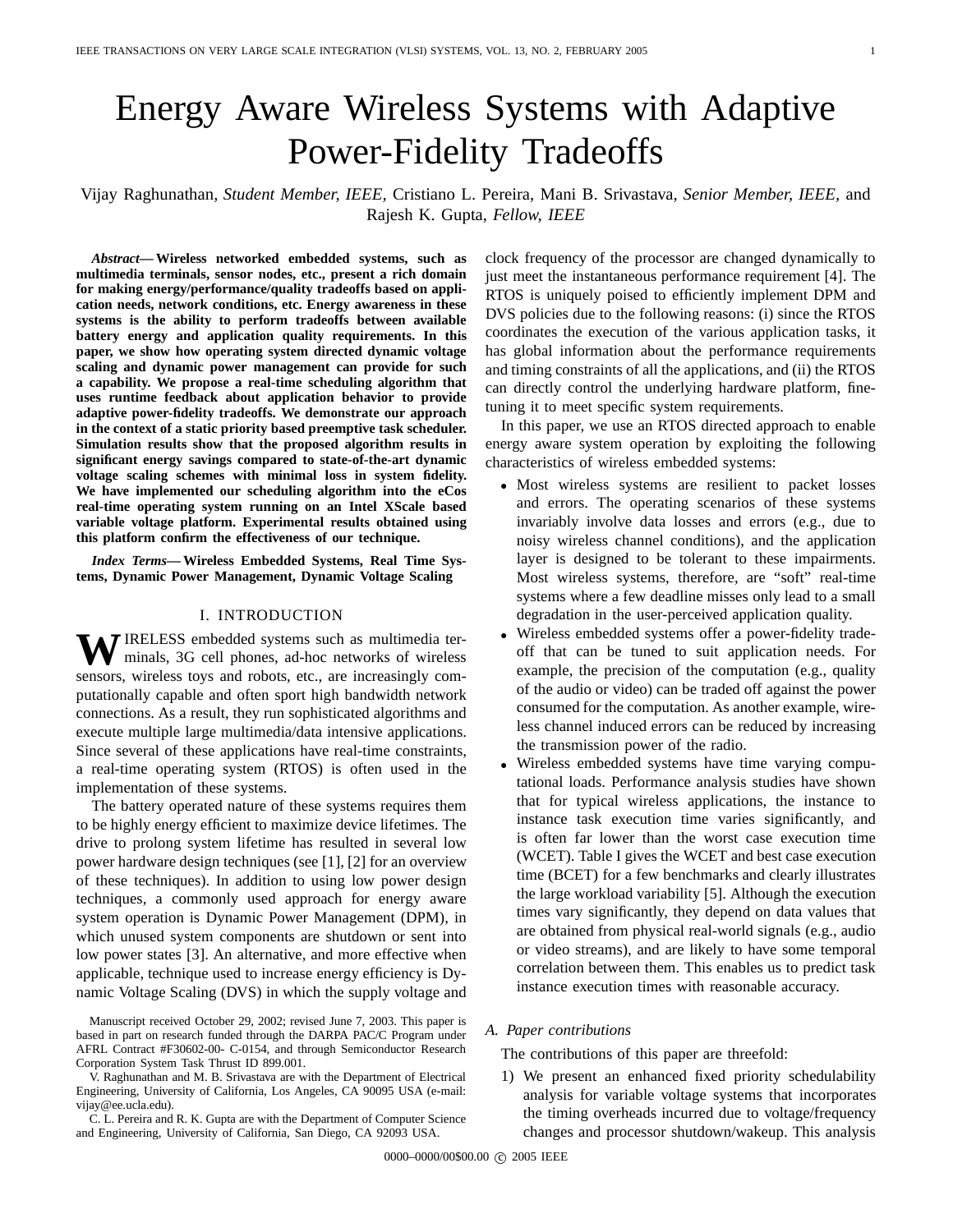# Energy Aware Wireless Systems with Adaptive Power-Fidelity Tradeoffs

Vijay Raghunathan, *Student Member, IEEE,* Cristiano L. Pereira, Mani B. Srivastava, *Senior Member, IEEE,* and Rajesh K. Gupta, *Fellow, IEEE*

*Abstract***— Wireless networked embedded systems, such as multimedia terminals, sensor nodes, etc., present a rich domain for making energy/performance/quality tradeoffs based on application needs, network conditions, etc. Energy awareness in these systems is the ability to perform tradeoffs between available battery energy and application quality requirements. In this paper, we show how operating system directed dynamic voltage scaling and dynamic power management can provide for such a capability. We propose a real-time scheduling algorithm that uses runtime feedback about application behavior to provide adaptive power-fidelity tradeoffs. We demonstrate our approach in the context of a static priority based preemptive task scheduler. Simulation results show that the proposed algorithm results in significant energy savings compared to state-of-the-art dynamic voltage scaling schemes with minimal loss in system fidelity. We have implemented our scheduling algorithm into the eCos real-time operating system running on an Intel XScale based variable voltage platform. Experimental results obtained using this platform confirm the effectiveness of our technique.**

*Index Terms***— Wireless Embedded Systems, Real Time Systems, Dynamic Power Management, Dynamic Voltage Scaling**

# I. INTRODUCTION

**W**IRELESS embedded systems such as multimedia terminals, 3G cell phones, ad-hoc networks of wireless sensors, wireless toys and robots, etc., are increasingly computationally capable and often sport high bandwidth network connections. As a result, they run sophisticated algorithms and execute multiple large multimedia/data intensive applications. Since several of these applications have real-time constraints, a real-time operating system (RTOS) is often used in the implementation of these systems.

The battery operated nature of these systems requires them to be highly energy efficient to maximize device lifetimes. The drive to prolong system lifetime has resulted in several low power hardware design techniques (see [1], [2] for an overview of these techniques). In addition to using low power design techniques, a commonly used approach for energy aware system operation is Dynamic Power Management (DPM), in which unused system components are shutdown or sent into low power states [3]. An alternative, and more effective when applicable, technique used to increase energy efficiency is Dynamic Voltage Scaling (DVS) in which the supply voltage and

Manuscript received October 29, 2002; revised June 7, 2003. This paper is based in part on research funded through the DARPA PAC/C Program under AFRL Contract #F30602-00- C-0154, and through Semiconductor Research Corporation System Task Thrust ID 899.001.

V. Raghunathan and M. B. Srivastava are with the Department of Electrical Engineering, University of California, Los Angeles, CA 90095 USA (e-mail: vijay@ee.ucla.edu).

C. L. Pereira and R. K. Gupta are with the Department of Computer Science and Engineering, University of California, San Diego, CA 92093 USA.

clock frequency of the processor are changed dynamically to just meet the instantaneous performance requirement [4]. The RTOS is uniquely poised to efficiently implement DPM and DVS policies due to the following reasons: (i) since the RTOS coordinates the execution of the various application tasks, it has global information about the performance requirements and timing constraints of all the applications, and (ii) the RTOS can directly control the underlying hardware platform, finetuning it to meet specific system requirements.

In this paper, we use an RTOS directed approach to enable energy aware system operation by exploiting the following characteristics of wireless embedded systems:

- Most wireless systems are resilient to packet losses and errors. The operating scenarios of these systems invariably involve data losses and errors (e.g., due to noisy wireless channel conditions), and the application layer is designed to be tolerant to these impairments. Most wireless systems, therefore, are "soft" real-time systems where a few deadline misses only lead to a small degradation in the user-perceived application quality.
- Wireless embedded systems offer a power-fidelity tradeoff that can be tuned to suit application needs. For example, the precision of the computation (e.g., quality of the audio or video) can be traded off against the power consumed for the computation. As another example, wireless channel induced errors can be reduced by increasing the transmission power of the radio.
- Wireless embedded systems have time varying computational loads. Performance analysis studies have shown that for typical wireless applications, the instance to instance task execution time varies significantly, and is often far lower than the worst case execution time (WCET). Table I gives the WCET and best case execution time (BCET) for a few benchmarks and clearly illustrates the large workload variability [5]. Although the execution times vary significantly, they depend on data values that are obtained from physical real-world signals (e.g., audio or video streams), and are likely to have some temporal correlation between them. This enables us to predict task instance execution times with reasonable accuracy.

## *A. Paper contributions*

The contributions of this paper are threefold:

1) We present an enhanced fixed priority schedulability analysis for variable voltage systems that incorporates the timing overheads incurred due to voltage/frequency changes and processor shutdown/wakeup. This analysis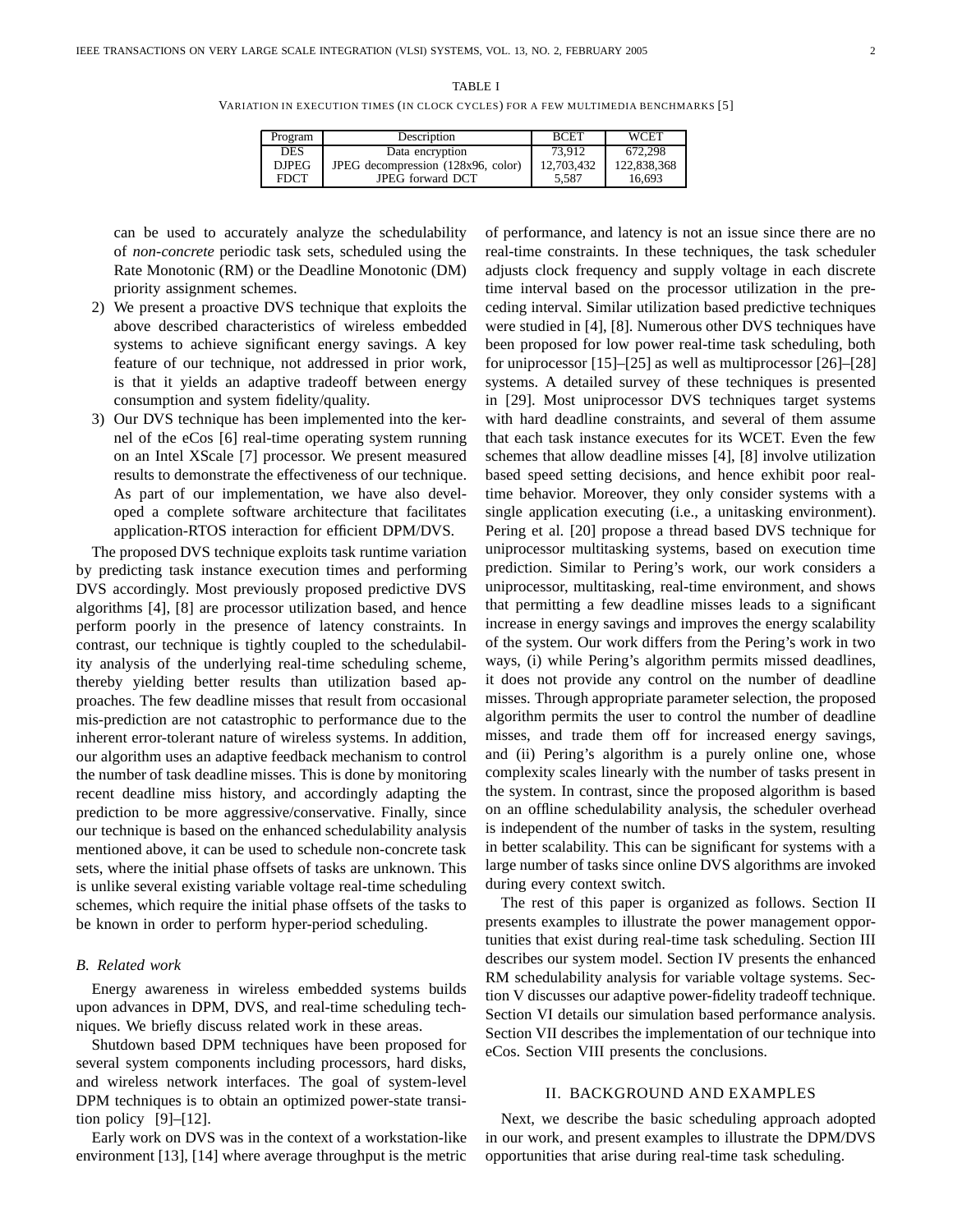TABLE I

VARIATION IN EXECUTION TIMES (IN CLOCK CYCLES) FOR A FEW MULTIMEDIA BENCHMARKS [5]

| Program      | Description                        | <b>BCET</b> | <b>WCET</b> |
|--------------|------------------------------------|-------------|-------------|
| <b>DES</b>   | Data encryption                    | 73.912      | 672.298     |
| <b>DJPEG</b> | JPEG decompression (128x96, color) | 12,703,432  | 122,838,368 |
| <b>FDCT</b>  | JPEG forward DCT                   | 5.587       | 16.693      |

can be used to accurately analyze the schedulability of *non-concrete* periodic task sets, scheduled using the Rate Monotonic (RM) or the Deadline Monotonic (DM) priority assignment schemes.

- 2) We present a proactive DVS technique that exploits the above described characteristics of wireless embedded systems to achieve significant energy savings. A key feature of our technique, not addressed in prior work, is that it yields an adaptive tradeoff between energy consumption and system fidelity/quality.
- 3) Our DVS technique has been implemented into the kernel of the eCos [6] real-time operating system running on an Intel XScale [7] processor. We present measured results to demonstrate the effectiveness of our technique. As part of our implementation, we have also developed a complete software architecture that facilitates application-RTOS interaction for efficient DPM/DVS.

The proposed DVS technique exploits task runtime variation by predicting task instance execution times and performing DVS accordingly. Most previously proposed predictive DVS algorithms [4], [8] are processor utilization based, and hence perform poorly in the presence of latency constraints. In contrast, our technique is tightly coupled to the schedulability analysis of the underlying real-time scheduling scheme, thereby yielding better results than utilization based approaches. The few deadline misses that result from occasional mis-prediction are not catastrophic to performance due to the inherent error-tolerant nature of wireless systems. In addition, our algorithm uses an adaptive feedback mechanism to control the number of task deadline misses. This is done by monitoring recent deadline miss history, and accordingly adapting the prediction to be more aggressive/conservative. Finally, since our technique is based on the enhanced schedulability analysis mentioned above, it can be used to schedule non-concrete task sets, where the initial phase offsets of tasks are unknown. This is unlike several existing variable voltage real-time scheduling schemes, which require the initial phase offsets of the tasks to be known in order to perform hyper-period scheduling.

# *B. Related work*

Energy awareness in wireless embedded systems builds upon advances in DPM, DVS, and real-time scheduling techniques. We briefly discuss related work in these areas.

Shutdown based DPM techniques have been proposed for several system components including processors, hard disks, and wireless network interfaces. The goal of system-level DPM techniques is to obtain an optimized power-state transition policy  $[9]-[12]$ .

Early work on DVS was in the context of a workstation-like environment [13], [14] where average throughput is the metric of performance, and latency is not an issue since there are no real-time constraints. In these techniques, the task scheduler adjusts clock frequency and supply voltage in each discrete time interval based on the processor utilization in the preceding interval. Similar utilization based predictive techniques were studied in [4], [8]. Numerous other DVS techniques have been proposed for low power real-time task scheduling, both for uniprocessor [15]–[25] as well as multiprocessor [26]–[28] systems. A detailed survey of these techniques is presented in [29]. Most uniprocessor DVS techniques target systems with hard deadline constraints, and several of them assume that each task instance executes for its WCET. Even the few schemes that allow deadline misses [4], [8] involve utilization based speed setting decisions, and hence exhibit poor realtime behavior. Moreover, they only consider systems with a single application executing (i.e., a unitasking environment). Pering et al. [20] propose a thread based DVS technique for uniprocessor multitasking systems, based on execution time prediction. Similar to Pering's work, our work considers a uniprocessor, multitasking, real-time environment, and shows that permitting a few deadline misses leads to a significant increase in energy savings and improves the energy scalability of the system. Our work differs from the Pering's work in two ways, (i) while Pering's algorithm permits missed deadlines, it does not provide any control on the number of deadline misses. Through appropriate parameter selection, the proposed algorithm permits the user to control the number of deadline misses, and trade them off for increased energy savings, and (ii) Pering's algorithm is a purely online one, whose complexity scales linearly with the number of tasks present in the system. In contrast, since the proposed algorithm is based on an offline schedulability analysis, the scheduler overhead is independent of the number of tasks in the system, resulting in better scalability. This can be significant for systems with a large number of tasks since online DVS algorithms are invoked during every context switch.

The rest of this paper is organized as follows. Section II presents examples to illustrate the power management opportunities that exist during real-time task scheduling. Section III describes our system model. Section IV presents the enhanced RM schedulability analysis for variable voltage systems. Section V discusses our adaptive power-fidelity tradeoff technique. Section VI details our simulation based performance analysis. Section VII describes the implementation of our technique into eCos. Section VIII presents the conclusions.

# II. BACKGROUND AND EXAMPLES

Next, we describe the basic scheduling approach adopted in our work, and present examples to illustrate the DPM/DVS opportunities that arise during real-time task scheduling.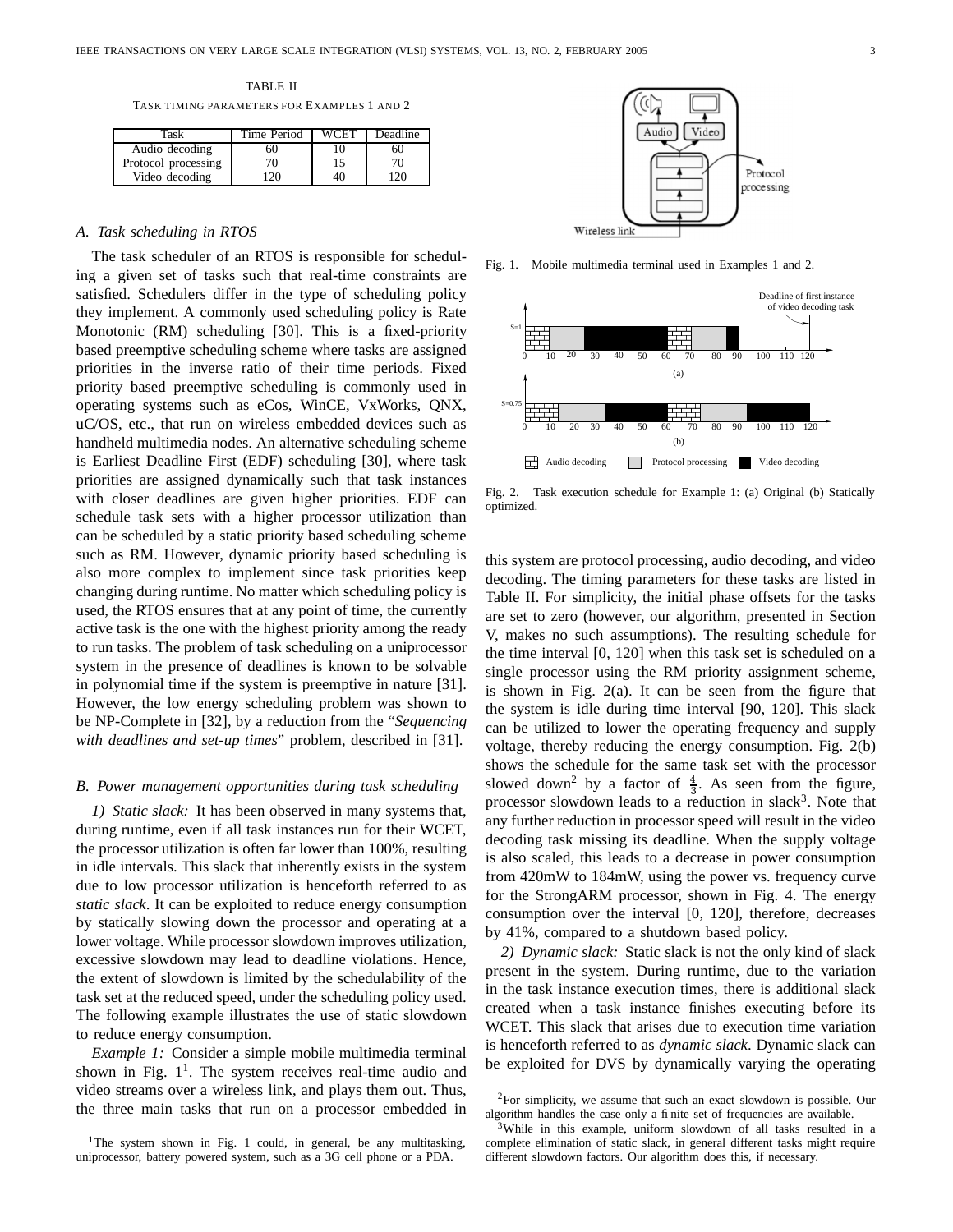TABLE II TASK TIMING PARAMETERS FOR EXAMPLES 1 AND 2

| Task                | Time Period | <b>WCET</b> | Deadline     |
|---------------------|-------------|-------------|--------------|
| Audio decoding      | 60          | l0          | 50           |
| Protocol processing | 70          | 15          | 70           |
| Video decoding      | $120 -$     | 40          | $20^{\circ}$ |

# *A. Task scheduling in RTOS*

The task scheduler of an RTOS is responsible for scheduling a given set of tasks such that real-time constraints are satisfied. Schedulers differ in the type of scheduling policy they implement. A commonly used scheduling policy is Rate Monotonic (RM) scheduling [30]. This is a fixed-priority based preemptive scheduling scheme where tasks are assigned priorities in the inverse ratio of their time periods. Fixed priority based preemptive scheduling is commonly used in operating systems such as eCos, WinCE, VxWorks, QNX, uC/OS, etc., that run on wireless embedded devices such as handheld multimedia nodes. An alternative scheduling scheme is Earliest Deadline First (EDF) scheduling [30], where task priorities are assigned dynamically such that task instances with closer deadlines are given higher priorities. EDF can schedule task sets with a higher processor utilization than can be scheduled by a static priority based scheduling scheme such as RM. However, dynamic priority based scheduling is also more complex to implement since task priorities keep changing during runtime. No matter which scheduling policy is used, the RTOS ensures that at any point of time, the currently active task is the one with the highest priority among the ready to run tasks. The problem of task scheduling on a uniprocessor system in the presence of deadlines is known to be solvable in polynomial time if the system is preemptive in nature [31]. However, the low energy scheduling problem was shown to be NP-Complete in [32], by a reduction from the "*Sequencing with deadlines and set-up times*" problem, described in [31].

## *B. Power management opportunities during task scheduling*

*1) Static slack:* It has been observed in many systems that, during runtime, even if all task instances run for their WCET, the processor utilization is often far lower than 100%, resulting in idle intervals. This slack that inherently exists in the system due to low processor utilization is henceforth referred to as *static slack*. It can be exploited to reduce energy consumption by statically slowing down the processor and operating at a lower voltage. While processor slowdown improves utilization, excessive slowdown may lead to deadline violations. Hence, the extent of slowdown is limited by the schedulability of the task set at the reduced speed, under the scheduling policy used. The following example illustrates the use of static slowdown to reduce energy consumption.

*Example 1:* Consider a simple mobile multimedia terminal shown in Fig.  $1<sup>1</sup>$ . The system receives real-time audio and video streams over a wireless link, and plays them out. Thus, the three main tasks that run on a processor embedded in



Fig. 1. Mobile multimedia terminal used in Examples 1 and 2.



Fig. 2. Task execution schedule for Example 1: (a) Original (b) Statically optimized.

this system are protocol processing, audio decoding, and video decoding. The timing parameters for these tasks are listed in Table II. For simplicity, the initial phase offsets for the tasks are set to zero (however, our algorithm, presented in Section V, makes no such assumptions). The resulting schedule for the time interval [0, 120] when this task set is scheduled on a single processor using the RM priority assignment scheme, is shown in Fig. 2(a). It can be seen from the figure that the system is idle during time interval [90, 120]. This slack can be utilized to lower the operating frequency and supply voltage, thereby reducing the energy consumption. Fig. 2(b) shows the schedule for the same task set with the processor slowed down<sup>2</sup> by a factor of  $\frac{4}{3}$ . As seen from the figure, processor slowdown leads to a reduction in slack<sup>3</sup>. Note that any further reduction in processor speed will result in the video decoding task missing its deadline. When the supply voltage is also scaled, this leads to a decrease in power consumption from 420mW to 184mW, using the power vs. frequency curve for the StrongARM processor, shown in Fig. 4. The energy consumption over the interval [0, 120], therefore, decreases by 41%, compared to a shutdown based policy.

*2) Dynamic slack:* Static slack is not the only kind of slack present in the system. During runtime, due to the variation in the task instance execution times, there is additional slack created when a task instance finishes executing before its WCET. This slack that arises due to execution time variation is henceforth referred to as *dynamic slack*. Dynamic slack can be exploited for DVS by dynamically varying the operating

<sup>&</sup>lt;sup>1</sup>The system shown in Fig. 1 could, in general, be any multitasking, uniprocessor, battery powered system, such as a 3G cell phone or a PDA.

 $2$ For simplicity, we assume that such an exact slowdown is possible. Our algorithm handles the case only a finite set of frequencies are available.

<sup>&</sup>lt;sup>3</sup>While in this example, uniform slowdown of all tasks resulted in a complete elimination of static slack, in general different tasks might require different slowdown factors. Our algorithm does this, if necessary.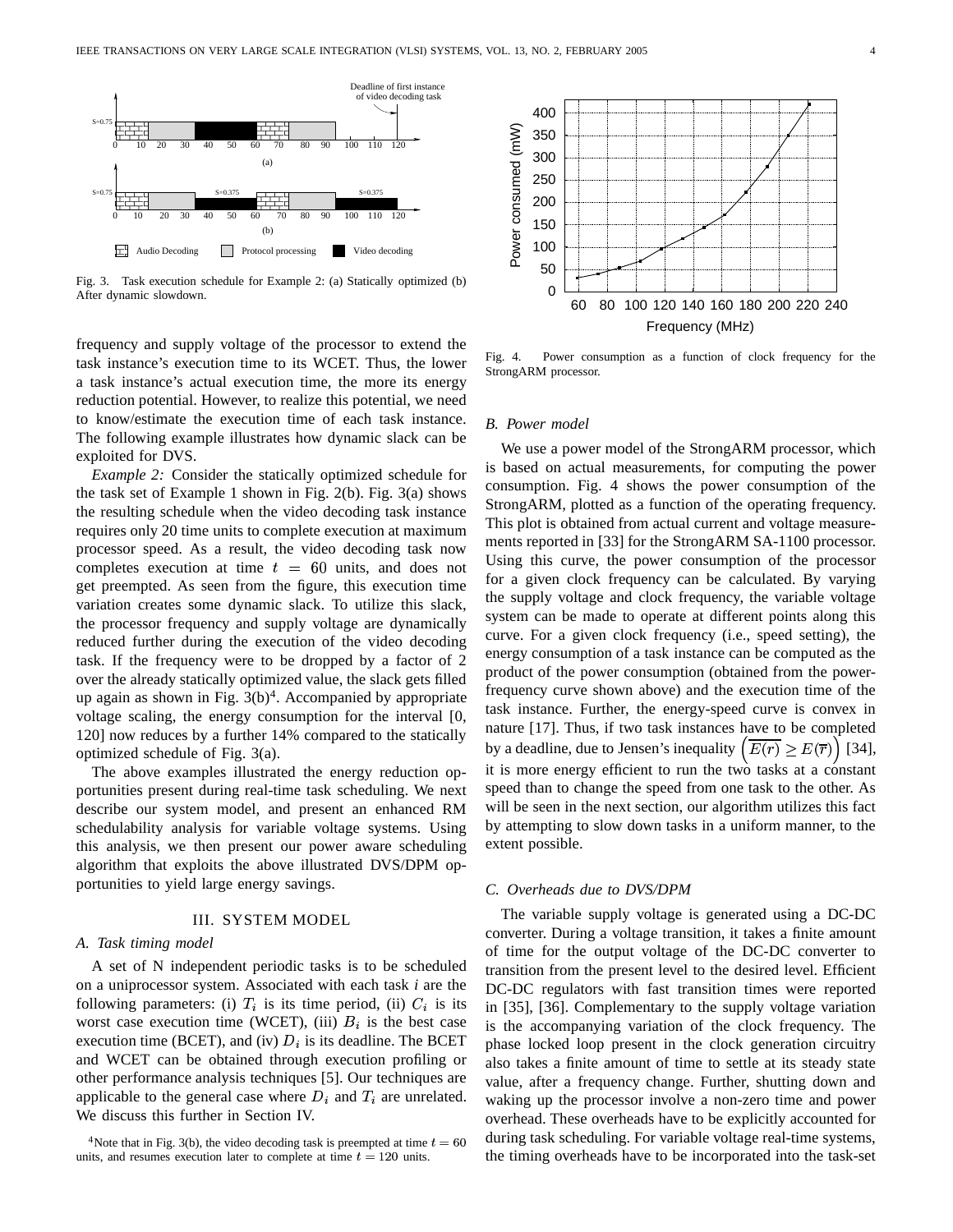

Fig. 3. Task execution schedule for Example 2: (a) Statically optimized (b) After dynamic slowdown.

frequency and supply voltage of the processor to extend the task instance's execution time to its WCET. Thus, the lower a task instance's actual execution time, the more its energy reduction potential. However, to realize this potential, we need to know/estimate the execution time of each task instance. The following example illustrates how dynamic slack can be exploited for DVS.

*Example 2:* Consider the statically optimized schedule for the task set of Example 1 shown in Fig. 2(b). Fig. 3(a) shows the resulting schedule when the video decoding task instance requires only 20 time units to complete execution at maximum processor speed. As a result, the video decoding task now completes execution at time  $t = 60$  units, and does not get preempted. As seen from the figure, this execution time variation creates some dynamic slack. To utilize this slack, the processor frequency and supply voltage are dynamically reduced further during the execution of the video decoding task. If the frequency were to be dropped by a factor of 2 over the already statically optimized value, the slack gets filled up again as shown in Fig.  $3(b)^4$ . Accompanied by appropriate voltage scaling, the energy consumption for the interval [0, 120] now reduces by a further 14% compared to the statically optimized schedule of Fig. 3(a).

The above examples illustrated the energy reduction opportunities present during real-time task scheduling. We next describe our system model, and present an enhanced RM schedulability analysis for variable voltage systems. Using this analysis, we then present our power aware scheduling algorithm that exploits the above illustrated DVS/DPM opportunities to yield large energy savings.

## III. SYSTEM MODEL

## *A. Task timing model*

A set of N independent periodic tasks is to be scheduled on a uniprocessor system. Associated with each task *i* are the following parameters: (i)  $T_i$  is its time period, (ii)  $C_i$  is its worst case execution time (WCET), (iii)  $B_i$  is the best case execution time (BCET), and (iv)  $D_i$  is its deadline. The BCET and WCET can be obtained through execution profiling or other performance analysis techniques [5]. Our techniques are applicable to the general case where  $D_i$  and  $T_i$  are unrelated. We discuss this further in Section IV.



Fig. 4. Power consumption as a function of clock frequency for the StrongARM processor.

# *B. Power model*

We use a power model of the StrongARM processor, which is based on actual measurements, for computing the power consumption. Fig. 4 shows the power consumption of the StrongARM, plotted as a function of the operating frequency. This plot is obtained from actual current and voltage measurements reported in [33] for the StrongARM SA-1100 processor. Using this curve, the power consumption of the processor for a given clock frequency can be calculated. By varying the supply voltage and clock frequency, the variable voltage system can be made to operate at different points along this curve. For a given clock frequency (i.e., speed setting), the energy consumption of a task instance can be computed as the product of the power consumption (obtained from the powerfrequency curve shown above) and the execution time of the task instance. Further, the energy-speed curve is convex in nature [17]. Thus, if two task instances have to be completed by a deadline, due to Jensen's inequality  $\left(\overline{E(r)}\geq E(\overline{r})\right)$  [34], it is more energy efficient to run the two tasks at a constant speed than to change the speed from one task to the other. As will be seen in the next section, our algorithm utilizes this fact by attempting to slow down tasks in a uniform manner, to the extent possible.

## *C. Overheads due to DVS/DPM*

The variable supply voltage is generated using a DC-DC converter. During a voltage transition, it takes a finite amount of time for the output voltage of the DC-DC converter to transition from the present level to the desired level. Efficient DC-DC regulators with fast transition times were reported in [35], [36]. Complementary to the supply voltage variation is the accompanying variation of the clock frequency. The phase locked loop present in the clock generation circuitry also takes a finite amount of time to settle at its steady state value, after a frequency change. Further, shutting down and waking up the processor involve a non-zero time and power overhead. These overheads have to be explicitly accounted for during task scheduling. For variable voltage real-time systems, the timing overheads have to be incorporated into the task-set

<sup>&</sup>lt;sup>4</sup>Note that in Fig. 3(b), the video decoding task is preempted at time  $t = 60$ units, and resumes execution later to complete at time  $t = 120$  units.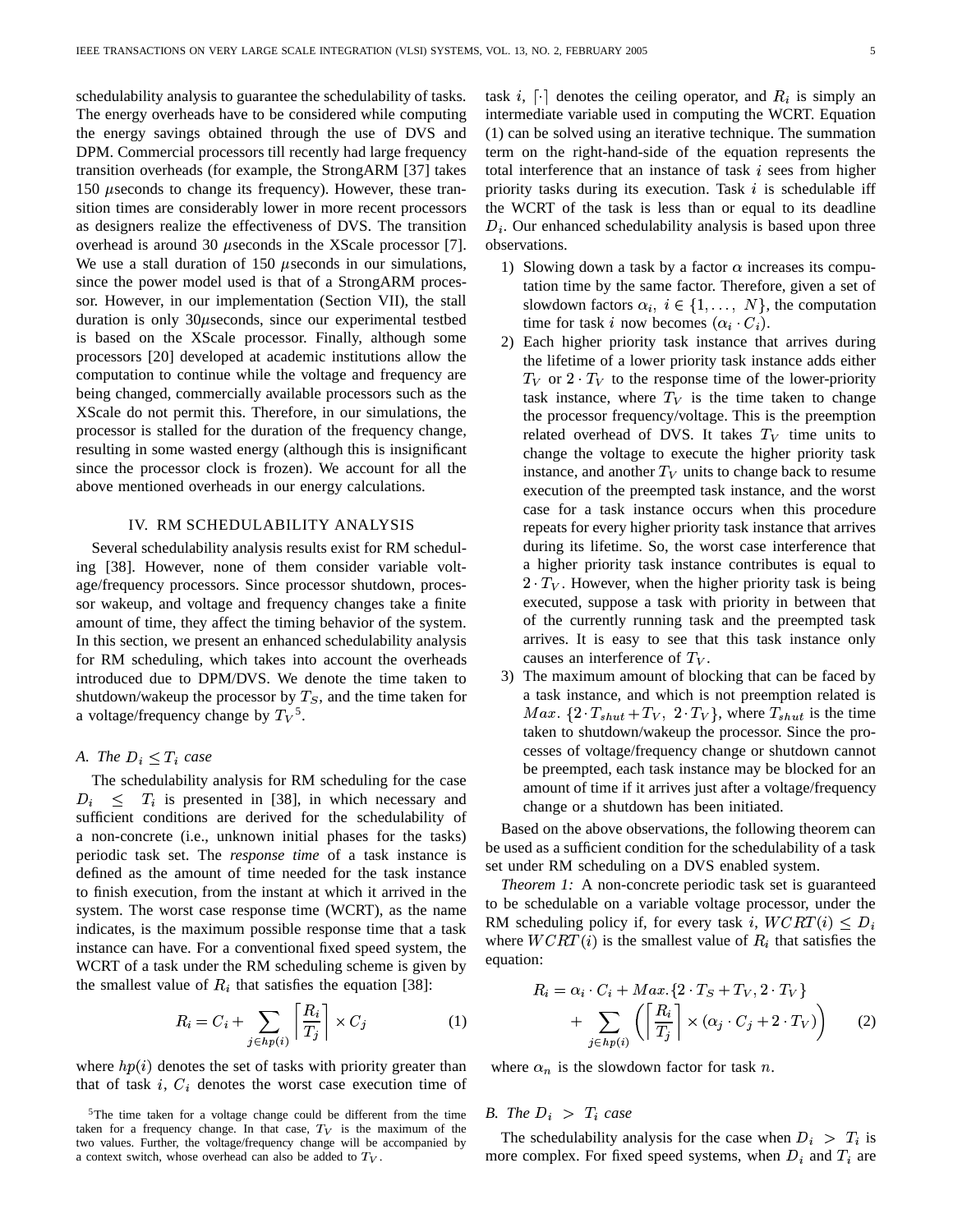schedulability analysis to guarantee the schedulability of tasks. The energy overheads have to be considered while computing the energy savings obtained through the use of DVS and DPM. Commercial processors till recently had large frequency transition overheads (for example, the StrongARM [37] takes 150  $\mu$  seconds to change its frequency). However, these transition times are considerably lower in more recent processors as designers realize the effectiveness of DVS. The transition overhead is around 30  $\mu$  seconds in the XScale processor [7]. We use a stall duration of 150  $\mu$ seconds in our simulations, since the power model used is that of a StrongARM processor. However, in our implementation (Section VII), the stall duration is only  $30\mu$  seconds, since our experimental testbed is based on the XScale processor. Finally, although some processors [20] developed at academic institutions allow the computation to continue while the voltage and frequency are being changed, commercially available processors such as the XScale do not permit this. Therefore, in our simulations, the processor is stalled for the duration of the frequency change, resulting in some wasted energy (although this is insignificant since the processor clock is frozen). We account for all the above mentioned overheads in our energy calculations.

## IV. RM SCHEDULABILITY ANALYSIS

Several schedulability analysis results exist for RM scheduling [38]. However, none of them consider variable voltage/frequency processors. Since processor shutdown, processor wakeup, and voltage and frequency changes take a finite amount of time, they affect the timing behavior of the system. In this section, we present an enhanced schedulability analysis for RM scheduling, which takes into account the overheads introduced due to DPM/DVS. We denote the time taken to shutdown/wakeup the processor by  $T<sub>S</sub>$ , and the time taken for a voltage/frequency change by  $T_V^5$ .

# *A. The*  $D_i \leq T_i$  *case*

The schedulability analysis for RM scheduling for the case  $D_i \leq T_i$  is presented in [38], in which necessary and sufficient conditions are derived for the schedulability of a non-concrete (i.e., unknown initial phases for the tasks) periodic task set. The *response time* of a task instance is defined as the amount of time needed for the task instance to finish execution, from the instant at which it arrived in the system. The worst case response time (WCRT), as the name indicates, is the maximum possible response time that a task instance can have. For a conventional fixed speed system, the WCRT of a task under the RM scheduling scheme is given by the smallest value of  $R_i$  that satisfies the equation [38]:

$$
R_i = C_i + \sum_{j \in hp(i)} \left[ \frac{R_i}{T_j} \right] \times C_j \tag{1}
$$

where  $hp(i)$  denotes the set of tasks with priority greater than that of task i,  $C_i$  denotes the worst case execution time of

task *i*,  $\lceil \cdot \rceil$  denotes the ceiling operator, and  $R_i$  is simply an intermediate variable used in computing the WCRT. Equation (1) can be solved using an iterative technique. The summation term on the right-hand-side of the equation represents the total interference that an instance of task  $\overrightarrow{i}$  sees from higher priority tasks during its execution. Task  $i$  is schedulable iff the WCRT of the task is less than or equal to its deadline  $D<sub>i</sub>$ . Our enhanced schedulability analysis is based upon three observations.

- 1) Slowing down a task by a factor  $\alpha$  increases its computation time by the same factor. Therefore, given a set of slowdown factors  $\alpha_i, i \in \{1, \ldots, N\}$ , the computation time for task *i* now becomes  $(\alpha_i \cdot C_i)$ .
- 2) Each higher priority task instance that arrives during the lifetime of a lower priority task instance adds either  $T_V$  or  $2 \cdot T_V$  to the response time of the lower-priority task instance, where  $T_V$  is the time taken to change the processor frequency/voltage. This is the preemption related overhead of DVS. It takes  $T_V$  time units to change the voltage to execute the higher priority task instance, and another  $T_V$  units to change back to resume execution of the preempted task instance, and the worst case for a task instance occurs when this procedure repeats for every higher priority task instance that arrives during its lifetime. So, the worst case interference that a higher priority task instance contributes is equal to  $2 \cdot T_V$ . However, when the higher priority task is being executed, suppose a task with priority in between that of the currently running task and the preempted task arrives. It is easy to see that this task instance only causes an interference of  $T_V$ .
- 3) The maximum amount of blocking that can be faced by a task instance, and which is not preemption related is *Max.*  $\{2 \cdot T_{shut} + T_V, 2 \cdot T_V\}$ , where  $T_{shut}$  is the time taken to shutdown/wakeup the processor. Since the processes of voltage/frequency change or shutdown cannot be preempted, each task instance may be blocked for an amount of time if it arrives just after a voltage/frequency change or a shutdown has been initiated.

Based on the above observations, the following theorem can be used as a sufficient condition for the schedulability of a task set under RM scheduling on a DVS enabled system.

*Theorem 1:* A non-concrete periodic task set is guaranteed to be schedulable on a variable voltage processor, under the RM scheduling policy if, for every task i,  $WCRT(i) \leq D_i$ where  $WCRT(i)$  is the smallest value of  $R_i$  that satisfies the equation:

$$
R_i = \alpha_i \cdot C_i + Max \{ 2 \cdot T_S + T_V, 2 \cdot T_V \}
$$
  
+ 
$$
\sum_{j \in hp(i)} \left( \left\lceil \frac{R_i}{T_j} \right\rceil \times (\alpha_j \cdot C_j + 2 \cdot T_V) \right)
$$
 (2)

where  $\alpha_n$  is the slowdown factor for task n.

# *B. The*  $D_i$  >  $T_i$  *case*

The schedulability analysis for the case when  $D_i > T_i$  is more complex. For fixed speed systems, when  $D_i$  and  $T_i$  are

<sup>5</sup>The time taken for a voltage change could be different from the time taken for a frequency change. In that case,  $T_V$  is the maximum of the two values. Further, the voltage/frequency change will be accompanied by a context switch, whose overhead can also be added to  $T_V$ .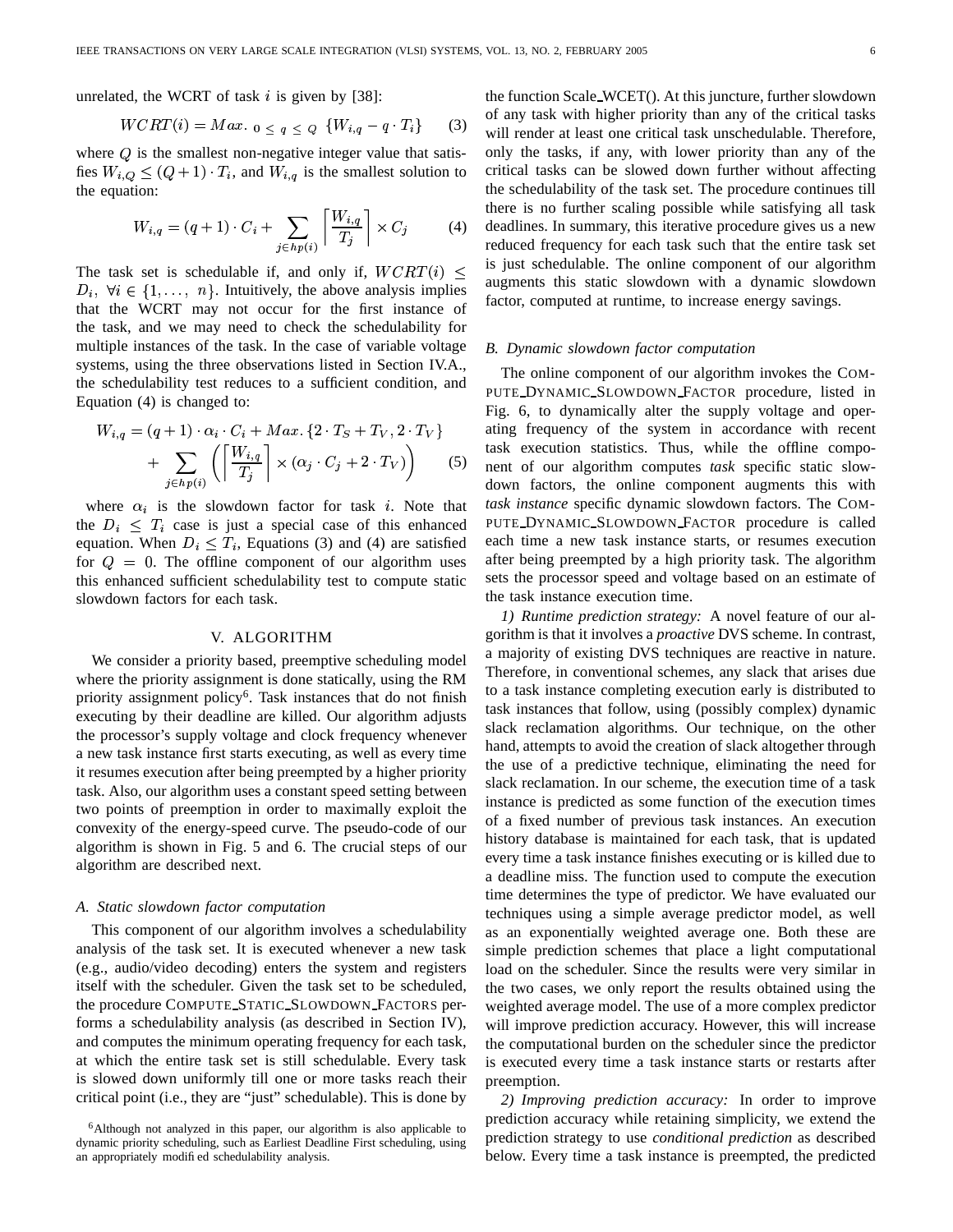unrelated, the WCRT of task  $i$  is given by [38]:

$$
WCRT(i) = Max. \ 0 \leq q \leq Q \ \{W_{i,q} - q \cdot T_i\} \tag{3}
$$

where  $Q$  is the smallest non-negative integer value that satisfies  $W_{i,Q} \leq (Q+1) \cdot T_i$ , and  $W_{i,q}$  is the smallest solution to the equation:

$$
W_{i,q} = (q+1) \cdot C_i + \sum_{j \in hp(i)} \left[ \frac{W_{i,q}}{T_j} \right] \times C_j \tag{4}
$$

The task set is schedulable if, and only if,  $WCRT(i)$  <  $D_i$ ,  $\forall i \in \{1,\ldots,n\}$ . Intuitively, the above analysis implies that the WCRT may not occur for the first instance of the task, and we may need to check the schedulability for multiple instances of the task. In the case of variable voltage systems, using the three observations listed in Section IV.A., the schedulability test reduces to a sufficient condition, and Equation (4) is changed to:

$$
W_{i,q} = (q+1) \cdot \alpha_i \cdot C_i + Max \cdot \{2 \cdot T_S + T_V, 2 \cdot T_V\} \quad \text{atin}
$$
  
+ 
$$
\sum_{j \in hp(i)} \left( \left\lceil \frac{W_{i,q}}{T_j} \right\rceil \times (\alpha_j \cdot C_j + 2 \cdot T_V) \right) \quad \text{(5)} \quad \text{task}
$$

where  $\alpha_i$  is the slowdown factor for task *i*. Note that the  $D_i \leq T_i$  case is just a special case of this enhanced equation. When  $D_i \leq T_i$ , Equations (3) and (4) are satisfied for  $Q = 0$ . The offline component of our algorithm uses this enhanced sufficient schedulability test to compute static slowdown factors for each task.

# V. ALGORITHM

We consider a priority based, preemptive scheduling model where the priority assignment is done statically, using the RM priority assignment policy 6 . Task instances that do not finish executing by their deadline are killed. Our algorithm adjusts the processor's supply voltage and clock frequency whenever a new task instance first starts executing, as well as every time it resumes execution after being preempted by a higher priority task. Also, our algorithm uses a constant speed setting between two points of preemption in order to maximally exploit the convexity of the energy-speed curve. The pseudo-code of our algorithm is shown in Fig. 5 and 6. The crucial steps of our algorithm are described next.

# *A. Static slowdown factor computation*

This component of our algorithm involves a schedulability analysis of the task set. It is executed whenever a new task (e.g., audio/video decoding) enters the system and registers itself with the scheduler. Given the task set to be scheduled, the procedure COMPUTE STATIC SLOWDOWN FACTORS performs a schedulability analysis (as described in Section IV), and computes the minimum operating frequency for each task, at which the entire task set is still schedulable. Every task is slowed down uniformly till one or more tasks reach their critical point (i.e., they are "just" schedulable). This is done by

 deadlines. In summary, this iterative procedure gives us a new  $\vec{a}$  augments this static slowdown with a dynamic slowdown the function Scale WCET(). At this juncture, further slowdown of any task with higher priority than any of the critical tasks will render at least one critical task unschedulable. Therefore, only the tasks, if any, with lower priority than any of the critical tasks can be slowed down further without affecting the schedulability of the task set. The procedure continues till there is no further scaling possible while satisfying all task reduced frequency for each task such that the entire task set is just schedulable. The online component of our algorithm factor, computed at runtime, to increase energy savings.

# *B. Dynamic slowdown factor computation*

The online component of our algorithm invokes the COM-PUTE DYNAMIC SLOWDOWN FACTOR procedure, listed in Fig. 6, to dynamically alter the supply voltage and operating frequency of the system in accordance with recent task execution statistics. Thus, while the offline component of our algorithm computes *task* specific static slowdown factors, the online component augments this with *task instance* specific dynamic slowdown factors. The COM-PUTE DYNAMIC SLOWDOWN FACTOR procedure is called each time a new task instance starts, or resumes execution after being preempted by a high priority task. The algorithm sets the processor speed and voltage based on an estimate of the task instance execution time.

*1) Runtime prediction strategy:* A novel feature of our algorithm is that it involves a *proactive* DVS scheme. In contrast, a majority of existing DVS techniques are reactive in nature. Therefore, in conventional schemes, any slack that arises due to a task instance completing execution early is distributed to task instances that follow, using (possibly complex) dynamic slack reclamation algorithms. Our technique, on the other hand, attempts to avoid the creation of slack altogether through the use of a predictive technique, eliminating the need for slack reclamation. In our scheme, the execution time of a task instance is predicted as some function of the execution times of a fixed number of previous task instances. An execution history database is maintained for each task, that is updated every time a task instance finishes executing or is killed due to a deadline miss. The function used to compute the execution time determines the type of predictor. We have evaluated our techniques using a simple average predictor model, as well as an exponentially weighted average one. Both these are simple prediction schemes that place a light computational load on the scheduler. Since the results were very similar in the two cases, we only report the results obtained using the weighted average model. The use of a more complex predictor will improve prediction accuracy. However, this will increase the computational burden on the scheduler since the predictor is executed every time a task instance starts or restarts after preemption.

*2) Improving prediction accuracy:* In order to improve prediction accuracy while retaining simplicity, we extend the prediction strategy to use *conditional prediction* as described below. Every time a task instance is preempted, the predicted

<sup>&</sup>lt;sup>6</sup>Although not analyzed in this paper, our algorithm is also applicable to dynamic priority scheduling, such as Earliest Deadline First scheduling, using an appropriately modified schedulability analysis.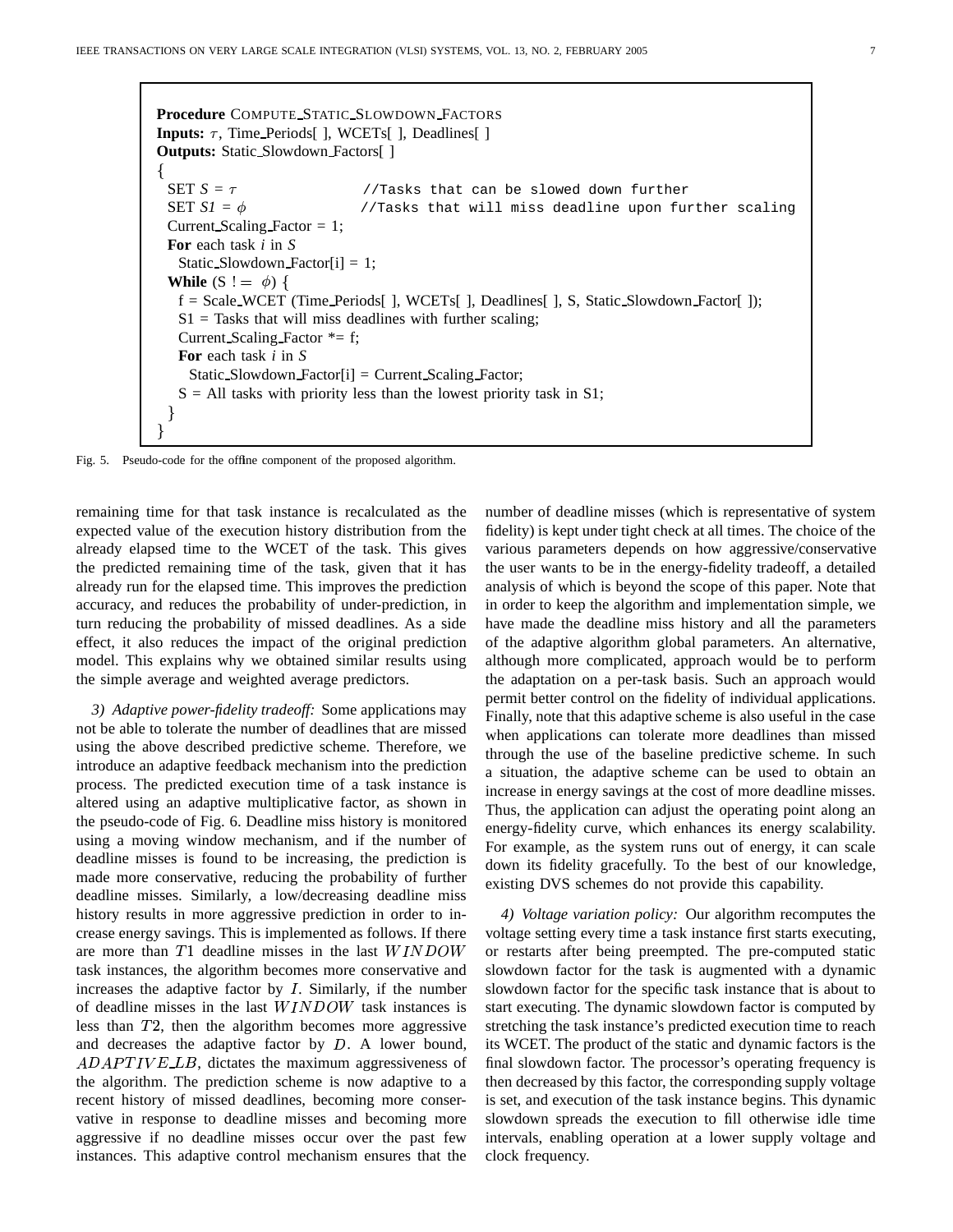```
Procedure COMPUTE_STATIC_SLOWDOWN_FACTORS
Inputs: \tau, Time Periods[], WCETs[], Deadlines[]
Outputs: Static_Slowdown_Factors[ ]
 SET S = \tau //Tasks that can be slowed down further
 SET SI = \phi//Tasks that will miss deadline upon further scaling
 Current Scaling Factor = 1;
 For each task i in S
   Static Slowdown Factor[i] = 1;
  While (S := \phi) {
   f = Scale WCET (Time Periods[ ], WCETs[ ], Deadlines[ ], S, Static Slowdown Factor[ ]);
   S1 = Tasks that will miss deadlines with further scaling;
   Current Scaling Factor * = f;
   For each task i in S
     Static Slowdown Factor[i] = Current Scaling Factor;
   S = All tasks with priority less than the lowest priority task in S1;
  4
\mathbf{1} and \mathbf{1} and \mathbf{1} and \mathbf{1} and \mathbf{1} and \mathbf{1} and \mathbf{1}
```
Fig. 5. Pseudo-code for the offline component of the proposed algorithm.

remaining time for that task instance is recalculated as the expected value of the execution history distribution from the already elapsed time to the WCET of the task. This gives the predicted remaining time of the task, given that it has already run for the elapsed time. This improves the prediction accuracy, and reduces the probability of under-prediction, in turn reducing the probability of missed deadlines. As a side effect, it also reduces the impact of the original prediction model. This explains why we obtained similar results using the simple average and weighted average predictors.

*3) Adaptive power-fidelity tradeoff:* Some applications may not be able to tolerate the number of deadlines that are missed using the above described predictive scheme. Therefore, we introduce an adaptive feedback mechanism into the prediction process. The predicted execution time of a task instance is altered using an adaptive multiplicative factor, as shown in the pseudo-code of Fig. 6. Deadline miss history is monitored using a moving window mechanism, and if the number of deadline misses is found to be increasing, the prediction is made more conservative, reducing the probability of further deadline misses. Similarly, a low/decreasing deadline miss history results in more aggressive prediction in order to increase energy savings. This is implemented as follows. If there are more than  $T1$  deadline misses in the last  $WINDOW$  or restarts after b task instances, the algorithm becomes more conservative and increases the adaptive factor by  $I$ . Similarly, if the number of deadline misses in the last  $WINDOW$  task instances is less than  $T2$ , then the algorithm becomes more aggressive and decreases the adaptive factor by  $D$ . A lower bound,  $ADAPTIVE\_LB$ , dictates the maximum aggressiveness of the algorithm. The prediction scheme is now adaptive to a recent history of missed deadlines, becoming more conservative in response to deadline misses and becoming more aggressive if no deadline misses occur over the past few instances. This adaptive control mechanism ensures that the

number of deadline misses (which is representative of system fidelity) is kept under tight check at all times. The choice of the various parameters depends on how aggressive/conservative the user wants to be in the energy-fidelity tradeoff, a detailed analysis of which is beyond the scope of this paper. Note that in order to keep the algorithm and implementation simple, we have made the deadline miss history and all the parameters of the adaptive algorithm global parameters. An alternative, although more complicated, approach would be to perform the adaptation on a per-task basis. Such an approach would permit better control on the fidelity of individual applications. Finally, note that this adaptive scheme is also useful in the case when applications can tolerate more deadlines than missed through the use of the baseline predictive scheme. In such a situation, the adaptive scheme can be used to obtain an increase in energy savings at the cost of more deadline misses. Thus, the application can adjust the operating point along an energy-fidelity curve, which enhances its energy scalability. For example, as the system runs out of energy, it can scale down its fidelity gracefully. To the best of our knowledge, existing DVS schemes do not provide this capability.

*4) Voltage variation policy:* Our algorithm recomputes the voltage setting every time a task instance first starts executing, or restarts after being preempted. The pre-computed static slowdown factor for the task is augmented with a dynamic slowdown factor for the specific task instance that is about to start executing. The dynamic slowdown factor is computed by stretching the task instance's predicted execution time to reach its WCET. The product of the static and dynamic factors is the final slowdown factor. The processor's operating frequency is then decreased by this factor, the corresponding supply voltage is set, and execution of the task instance begins. This dynamic slowdown spreads the execution to fill otherwise idle time intervals, enabling operation at a lower supply voltage and clock frequency.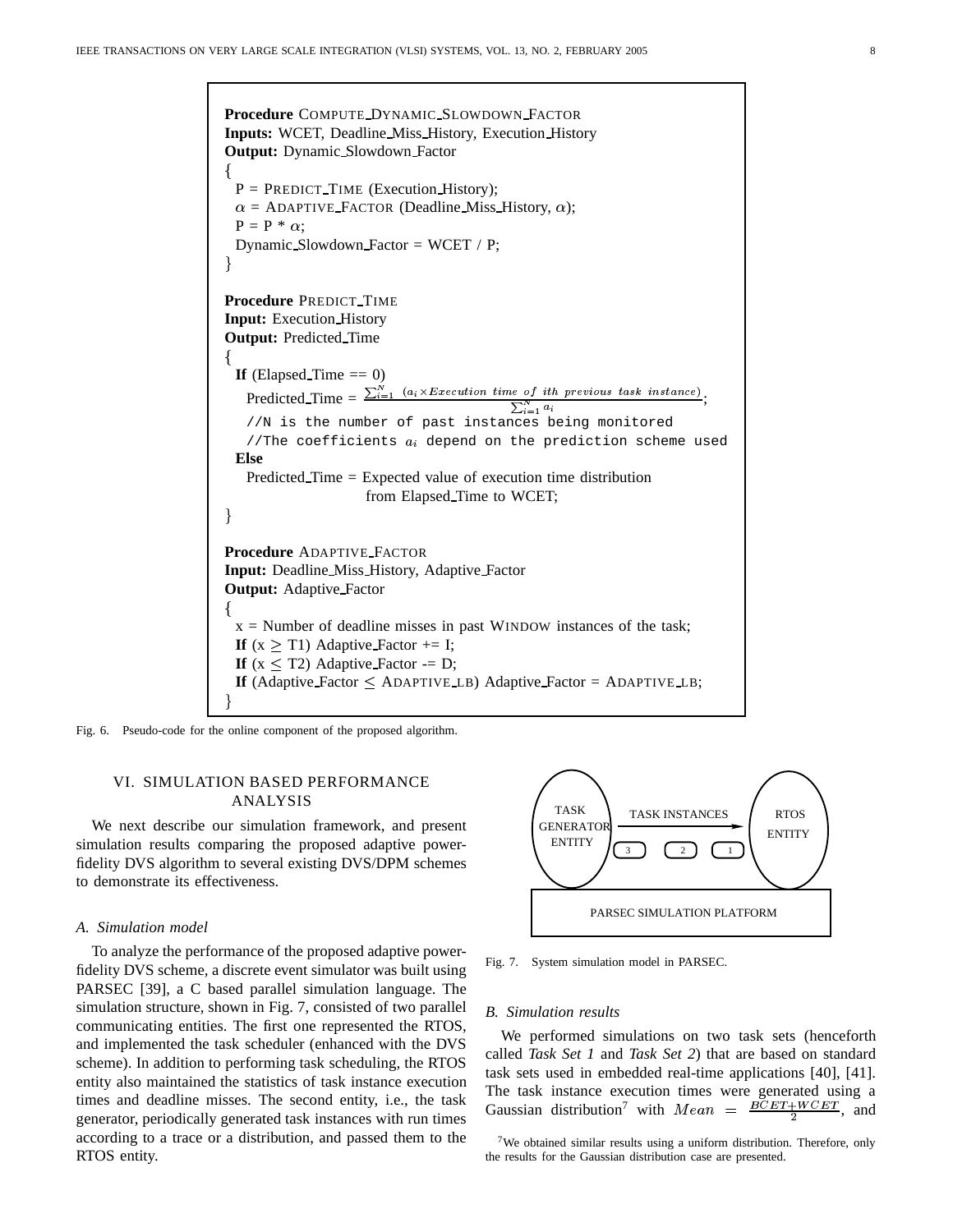**Procedure** COMPUTE DYNAMIC SLOWDOWN FACTOR **Inputs:** WCET, Deadline Miss History, Execution History **Output:** Dynamic\_Slowdown\_Factor  $P = P$ REDICT\_TIME (Execution History);  $\alpha$  = ADAPTIVE FACTOR (Deadline Miss History,  $\alpha$ );  $P = P * \alpha$ ; Dynamic Slowdown Factor = WCET  $/$  P; <sup>4</sup> **Procedure** PREDICT TIME **Input:** Execution History **Output: Predicted Time If** (Elapsed Time  $== 0$ ) Predicted Time =  $\frac{\sum_{i=1}^{n} (u_i \times Execu) \cdot v_i}{\sum_{i=1}^{n} (u_i \times Execu)}$  $N_{\alpha}$ ,  $(a_i \times Execution$  time of ith previous task instance) //N is the number of past instances being monitored  $N$  and  $a_i$ ; //The coefficients  $a_i$  depend on the prediction scheme used **Else** Predicted Time = Expected value of execution time distribution from Elapsed Time to WCET; <sup>4</sup> **Procedure** ADAPTIVE FACTOR **Input:** Deadline Miss History, Adaptive Factor **Output:** Adaptive Factor  $x =$  Number of deadline misses in past WINDOW instances of the task; **If**  $(x \geq T1)$  Adaptive Factor += I; **If**  $(x \leq T2)$  Adaptive Factor  $= D$ ; **If** (Adaptive Factor  $\leq$  ADAPTIVE LB) Adaptive Factor = ADAPTIVE LB; <sup>4</sup>

Fig. 6. Pseudo-code for the online component of the proposed algorithm.

# VI. SIMULATION BASED PERFORMANCE ANALYSIS

We next describe our simulation framework, and present simulation results comparing the proposed adaptive powerfidelity DVS algorithm to several existing DVS/DPM schemes to demonstrate its effectiveness.

# *A. Simulation model*

To analyze the performance of the proposed adaptive powerfidelity DVS scheme, a discrete event simulator was built using PARSEC [39], a C based parallel simulation language. The simulation structure, shown in Fig. 7, consisted of two parallel communicating entities. The first one represented the RTOS, and implemented the task scheduler (enhanced with the DVS scheme). In addition to performing task scheduling, the RTOS entity also maintained the statistics of task instance execution times and deadline misses. The second entity, i.e., the task generator, periodically generated task instances with run times according to a trace or a distribution, and passed them to the RTOS entity.



Fig. 7. System simulation model in PARSEC.

## *B. Simulation results*

We performed simulations on two task sets (henceforth called *Task Set 1* and *Task Set 2*) that are based on standard task sets used in embedded real-time applications [40], [41]. The task instance execution times were generated using a Gaussian distribution<sup>7</sup> with  $Mean = \frac{BCET + WCET}{2}$ , and

<sup>7</sup>We obtained similar results using a uniform distribution. Therefore, only the results for the Gaussian distribution case are presented.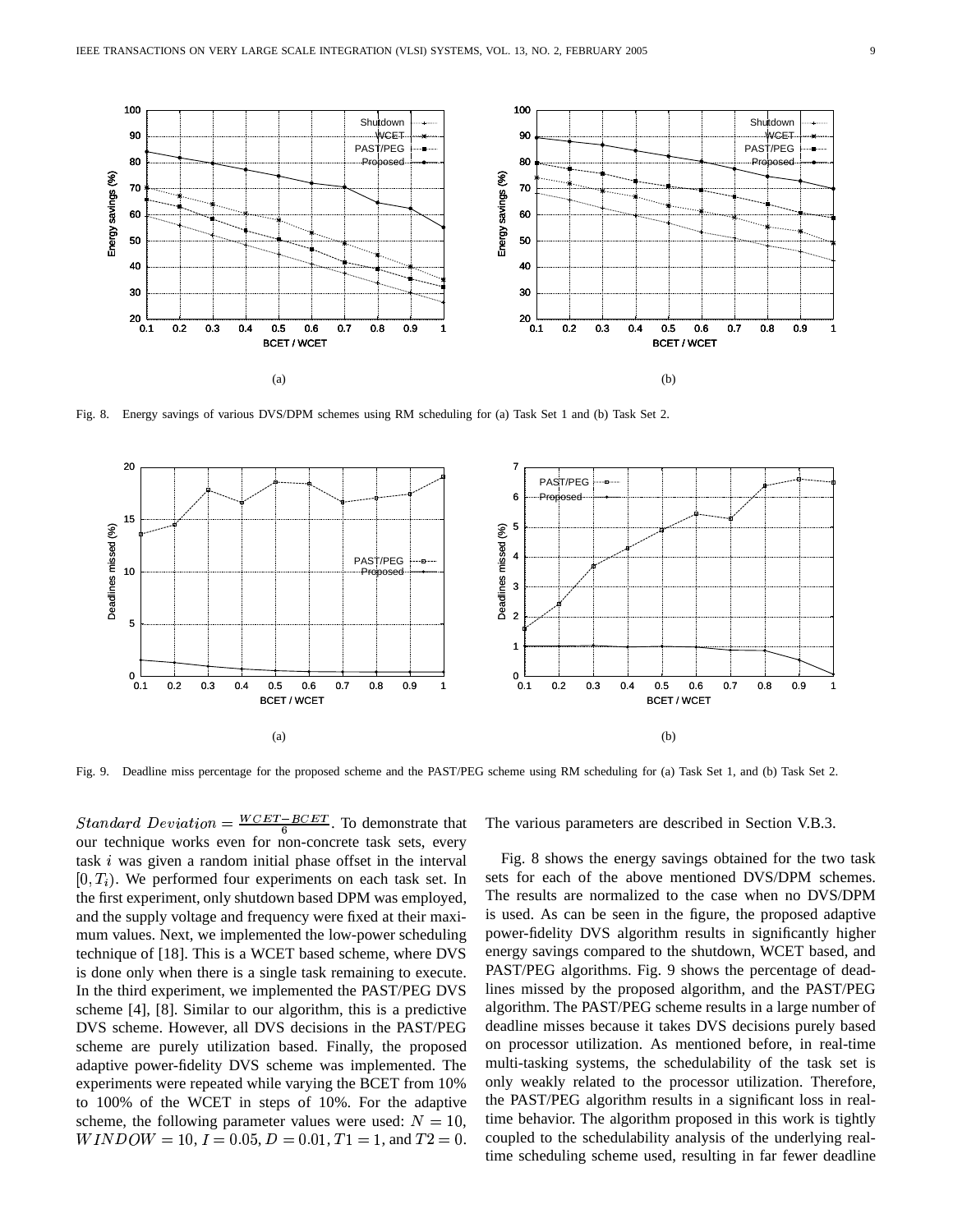

Fig. 8. Energy savings of various DVS/DPM schemes using RM scheduling for (a) Task Set 1 and (b) Task Set 2.



Fig. 9. Deadline miss percentage for the proposed scheme and the PAST/PEG scheme using RM scheduling for (a) Task Set 1, and (b) Task Set 2.

*Standard Deviation* =  $\frac{WCET - BCET}{6}$ . To demonstrate that our technique works even for non-concrete task sets, every task  $i$  was given a random initial phase offset in the interval  $[0, T_i)$ . We performed four experiments on each task set. In the first experiment, only shutdown based DPM was employed, and the supply voltage and frequency were fixed at their maximum values. Next, we implemented the low-power scheduling technique of [18]. This is a WCET based scheme, where DVS is done only when there is a single task remaining to execute. In the third experiment, we implemented the PAST/PEG DVS scheme [4], [8]. Similar to our algorithm, this is a predictive DVS scheme. However, all DVS decisions in the PAST/PEG scheme are purely utilization based. Finally, the proposed adaptive power-fidelity DVS scheme was implemented. The experiments were repeated while varying the BCET from 10% to 100% of the WCET in steps of 10%. For the adaptive the scheme, the following parameter values were used:  $N = 10$ , time beh  $WINDOW = 10, I = 0.05, D = 0.01, T1 = 1, and T2 = 0.$  coupled t

The various parameters are described in Section V.B.3.

Fig. 8 shows the energy savings obtained for the two task sets for each of the above mentioned DVS/DPM schemes. The results are normalized to the case when no DVS/DPM is used. As can be seen in the figure, the proposed adaptive power-fidelity DVS algorithm results in significantly higher energy savings compared to the shutdown, WCET based, and PAST/PEG algorithms. Fig. 9 shows the percentage of deadlines missed by the proposed algorithm, and the PAST/PEG algorithm. The PAST/PEG scheme results in a large number of deadline misses because it takes DVS decisions purely based on processor utilization. As mentioned before, in real-time multi-tasking systems, the schedulability of the task set is only weakly related to the processor utilization. Therefore, the PAST/PEG algorithm results in a significant loss in realtime behavior. The algorithm proposed in this work is tightly coupled to the schedulability analysis of the underlying realtime scheduling scheme used, resulting in far fewer deadline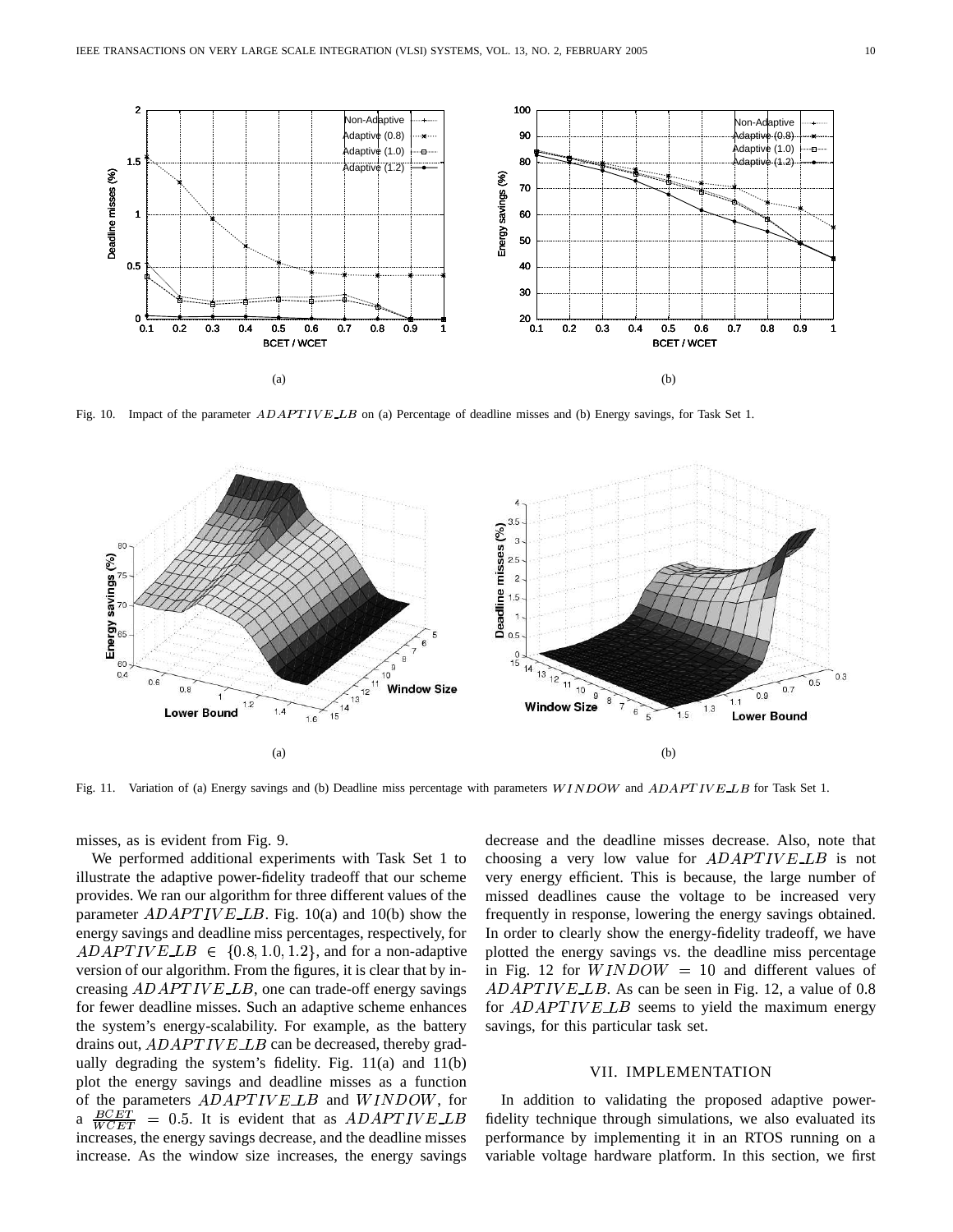

Fig. 10. Impact of the parameter  $ADAPTIVE\_LB$  on (a) Percentage of deadline misses and (b) Energy savings, for Task Set 1.



Fig. 11. Variation of (a) Energy savings and (b) Deadline miss percentage with parameters  $WINDOM$  and  $ADAPTIVE\_LB$  for Task Set 1.

misses, as is evident from Fig. 9.

We performed additional experiments with Task Set 1 to illustrate the adaptive power-fidelity tradeoff that our scheme provides. We ran our algorithm for three different values of the parameter  $ADAPTIVE\_IB$ . Fig. 10(a) and 10(b) show the energy savings and deadline miss percentages, respectively, for  $AD\ \widetilde{APT} \ IV \ \widetilde{E}\_LB \ \in \ \{0.8, 1.0, 1.2\},$  and for a non-adaptive version of our algorithm. From the figures, it is clear that by increasing  $ADAPTIVE$  LB, one can trade-off energy savings for fewer deadline misses. Such an adaptive scheme enhances the system's energy-scalability. For example, as the battery drains out,  $ADAPTIVE\_LB$  can be decreased, thereby gradually degrading the system's fidelity. Fig.  $11(a)$  and  $11(b)$ plot the energy savings and deadline misses as a function of the parameters  $ADAPTIVE\_\_IB$  and  $WINDOW$ , for a  $\frac{BCET}{WGET}$  $\frac{BCET}{WCET}$  = 0.5. It is evident that as  $ADAPTIVE\_\_IB$ increases, the energy savings decrease, and the deadline misses increase. As the window size increases, the energy savings

decrease and the deadline misses decrease. Also, note that choosing a very low value for  $ADAPTIVE\_{LB}$  is not very energy efficient. This is because, the large number of missed deadlines cause the voltage to be increased very frequently in response, lowering the energy savings obtained. In order to clearly show the energy-fidelity tradeoff, we have plotted the energy savings vs. the deadline miss percentage in Fig. 12 for  $WINDOW = 10$  and different values of  $AD\overrightarrow{APTIVE}$  LB. As can be seen in Fig. 12, a value of 0.8 for  $ADAPTIVE\_{LB}$  seems to yield the maximum energy savings, for this particular task set.

# VII. IMPLEMENTATION

 $IVE\_{LB}$  fidelity technique through simulations, we also evaluated its In addition to validating the proposed adaptive powerperformance by implementing it in an RTOS running on a variable voltage hardware platform. In this section, we first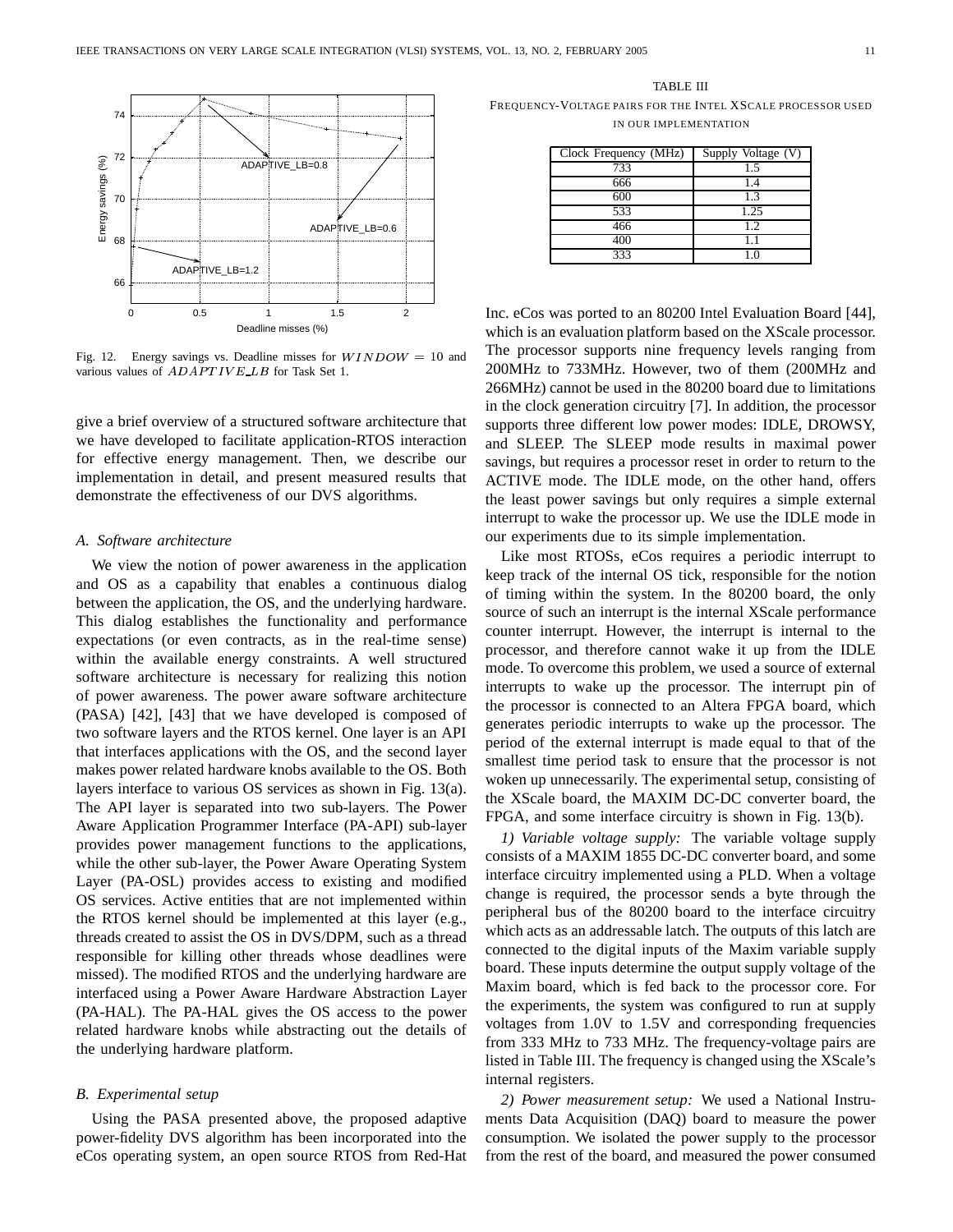

Fig. 12. Energy savings vs. Deadline misses for  $WINDOW = 10$  and various values of  $ADAPTIVE\_{LB}$  for Task Set 1.

give a brief overview of a structured software architecture that we have developed to facilitate application-RTOS interaction for effective energy management. Then, we describe our implementation in detail, and present measured results that demonstrate the effectiveness of our DVS algorithms.

## *A. Software architecture*

We view the notion of power awareness in the application and OS as a capability that enables a continuous dialog between the application, the OS, and the underlying hardware. This dialog establishes the functionality and performance expectations (or even contracts, as in the real-time sense) within the available energy constraints. A well structured software architecture is necessary for realizing this notion of power awareness. The power aware software architecture (PASA) [42], [43] that we have developed is composed of two software layers and the RTOS kernel. One layer is an API that interfaces applications with the OS, and the second layer makes power related hardware knobs available to the OS. Both layers interface to various OS services as shown in Fig. 13(a). The API layer is separated into two sub-layers. The Power Aware Application Programmer Interface (PA-API) sub-layer provides power management functions to the applications, while the other sub-layer, the Power Aware Operating System Layer (PA-OSL) provides access to existing and modified OS services. Active entities that are not implemented within the RTOS kernel should be implemented at this layer (e.g., threads created to assist the OS in DVS/DPM, such as a thread responsible for killing other threads whose deadlines were missed). The modified RTOS and the underlying hardware are interfaced using a Power Aware Hardware Abstraction Layer (PA-HAL). The PA-HAL gives the OS access to the power related hardware knobs while abstracting out the details of the underlying hardware platform.

# *B. Experimental setup*

Using the PASA presented above, the proposed adaptive power-fidelity DVS algorithm has been incorporated into the eCos operating system, an open source RTOS from Red-Hat

TABLE III FREQUENCY-VOLTAGE PAIRS FOR THE INTEL XSCALE PROCESSOR USED IN OUR IMPLEMENTATION

| Clock Frequency (MHz) | Supply Voltage (V) |
|-----------------------|--------------------|
| 733                   | 1.5                |
| 666                   | 1.4                |
| 600                   | 1.3                |
| 533                   | 1.25               |
| 466                   | 1.2                |
| 400                   | 11                 |
| 333                   |                    |

Inc. eCos was ported to an 80200 Intel Evaluation Board [44], which is an evaluation platform based on the XScale processor. The processor supports nine frequency levels ranging from 200MHz to 733MHz. However, two of them (200MHz and 266MHz) cannot be used in the 80200 board due to limitations in the clock generation circuitry [7]. In addition, the processor supports three different low power modes: IDLE, DROWSY, and SLEEP. The SLEEP mode results in maximal power savings, but requires a processor reset in order to return to the ACTIVE mode. The IDLE mode, on the other hand, offers the least power savings but only requires a simple external interrupt to wake the processor up. We use the IDLE mode in our experiments due to its simple implementation.

Like most RTOSs, eCos requires a periodic interrupt to keep track of the internal OS tick, responsible for the notion of timing within the system. In the 80200 board, the only source of such an interrupt is the internal XScale performance counter interrupt. However, the interrupt is internal to the processor, and therefore cannot wake it up from the IDLE mode. To overcome this problem, we used a source of external interrupts to wake up the processor. The interrupt pin of the processor is connected to an Altera FPGA board, which generates periodic interrupts to wake up the processor. The period of the external interrupt is made equal to that of the smallest time period task to ensure that the processor is not woken up unnecessarily. The experimental setup, consisting of the XScale board, the MAXIM DC-DC converter board, the FPGA, and some interface circuitry is shown in Fig. 13(b).

*1) Variable voltage supply:* The variable voltage supply consists of a MAXIM 1855 DC-DC converter board, and some interface circuitry implemented using a PLD. When a voltage change is required, the processor sends a byte through the peripheral bus of the 80200 board to the interface circuitry which acts as an addressable latch. The outputs of this latch are connected to the digital inputs of the Maxim variable supply board. These inputs determine the output supply voltage of the Maxim board, which is fed back to the processor core. For the experiments, the system was configured to run at supply voltages from 1.0V to 1.5V and corresponding frequencies from 333 MHz to 733 MHz. The frequency-voltage pairs are listed in Table III. The frequency is changed using the XScale's internal registers.

*2) Power measurement setup:* We used a National Instruments Data Acquisition (DAQ) board to measure the power consumption. We isolated the power supply to the processor from the rest of the board, and measured the power consumed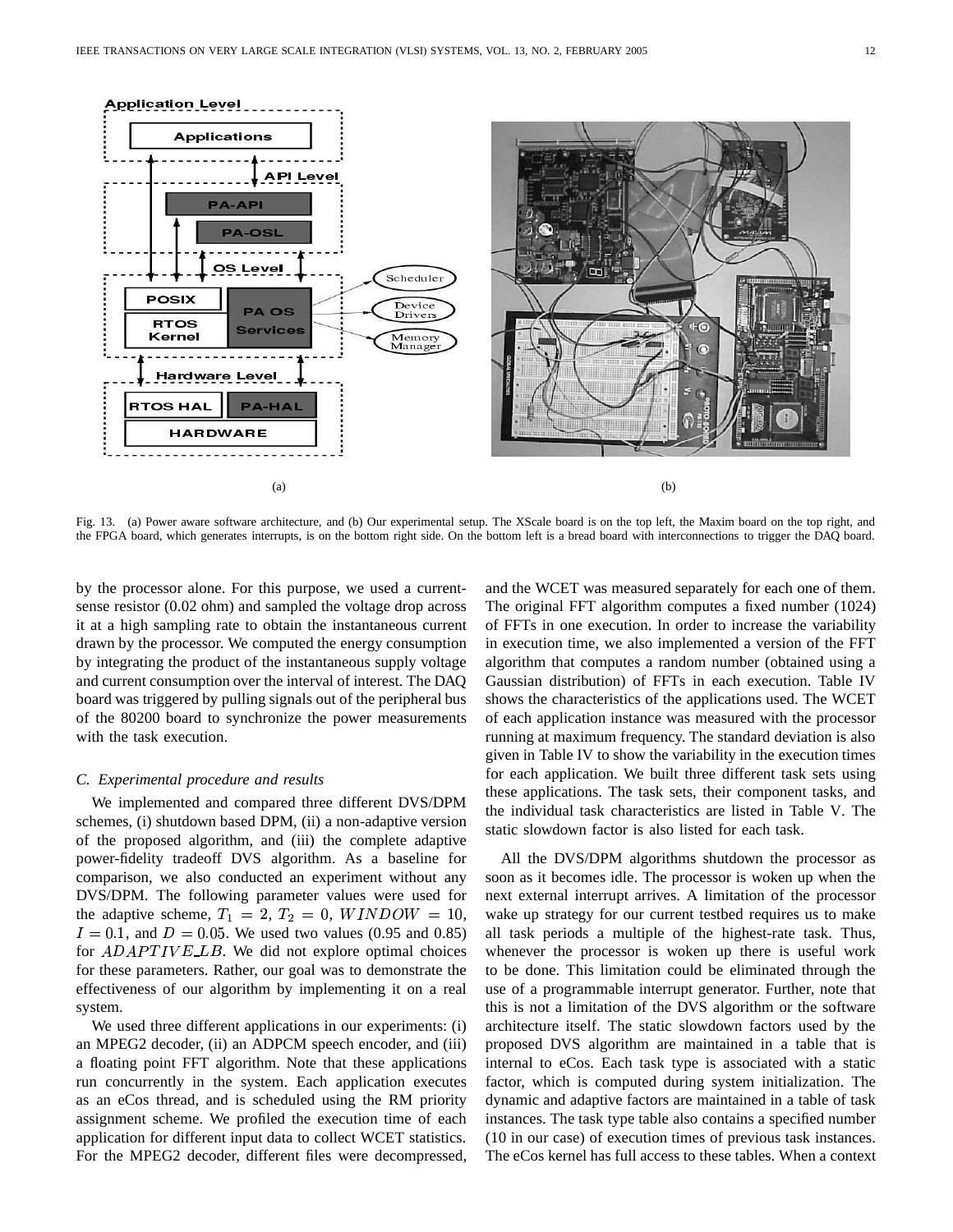



Fig. 13. (a) Power aware software architecture, and (b) Our experimental setup. The XScale board is on the top left, the Maxim board on the top right, and the FPGA board, which generates interrupts, is on the bottom right side. On the bottom left is a bread board with interconnections to trigger the DAQ board.

by the processor alone. For this purpose, we used a currentsense resistor (0.02 ohm) and sampled the voltage drop across it at a high sampling rate to obtain the instantaneous current drawn by the processor. We computed the energy consumption by integrating the product of the instantaneous supply voltage and current consumption over the interval of interest. The DAQ board was triggered by pulling signals out of the peripheral bus of the 80200 board to synchronize the power measurements with the task execution.

## *C. Experimental procedure and results*

We implemented and compared three different DVS/DPM schemes, (i) shutdown based DPM, (ii) a non-adaptive version of the proposed algorithm, and (iii) the complete adaptive power-fidelity tradeoff DVS algorithm. As a baseline for comparison, we also conducted an experiment without any DVS/DPM. The following parameter values were used for net the adaptive scheme,  $T_1 = 2, T_2 = 0, WINDOW = 10,$  wake up str  $I = 0.1$ , and  $D = 0.05$ . We used two values (0.95 and 0.85) for  $ADAPTIVE\_\_IB$ . We did not explore optimal choices for these parameters. Rather, our goal was to demonstrate the effectiveness of our algorithm by implementing it on a real system.

We used three different applications in our experiments: (i) an MPEG2 decoder, (ii) an ADPCM speech encoder, and (iii) a floating point FFT algorithm. Note that these applications run concurrently in the system. Each application executes as an eCos thread, and is scheduled using the RM priority assignment scheme. We profiled the execution time of each application for different input data to collect WCET statistics. For the MPEG2 decoder, different files were decompressed, and the WCET was measured separately for each one of them. The original FFT algorithm computes a fixed number (1024) of FFTs in one execution. In order to increase the variability in execution time, we also implemented a version of the FFT algorithm that computes a random number (obtained using a Gaussian distribution) of FFTs in each execution. Table IV shows the characteristics of the applications used. The WCET of each application instance was measured with the processor running at maximum frequency. The standard deviation is also given in Table IV to show the variability in the execution times for each application. We built three different task sets using these applications. The task sets, their component tasks, and the individual task characteristics are listed in Table V. The static slowdown factor is also listed for each task.

All the DVS/DPM algorithms shutdown the processor as soon as it becomes idle. The processor is woken up when the next external interrupt arrives. A limitation of the processor wake up strategy for our current testbed requires us to make all task periods a multiple of the highest-rate task. Thus, whenever the processor is woken up there is useful work to be done. This limitation could be eliminated through the use of a programmable interrupt generator. Further, note that this is not a limitation of the DVS algorithm or the software architecture itself. The static slowdown factors used by the proposed DVS algorithm are maintained in a table that is internal to eCos. Each task type is associated with a static factor, which is computed during system initialization. The dynamic and adaptive factors are maintained in a table of task instances. The task type table also contains a specified number (10 in our case) of execution times of previous task instances. The eCos kernel has full access to these tables. When a context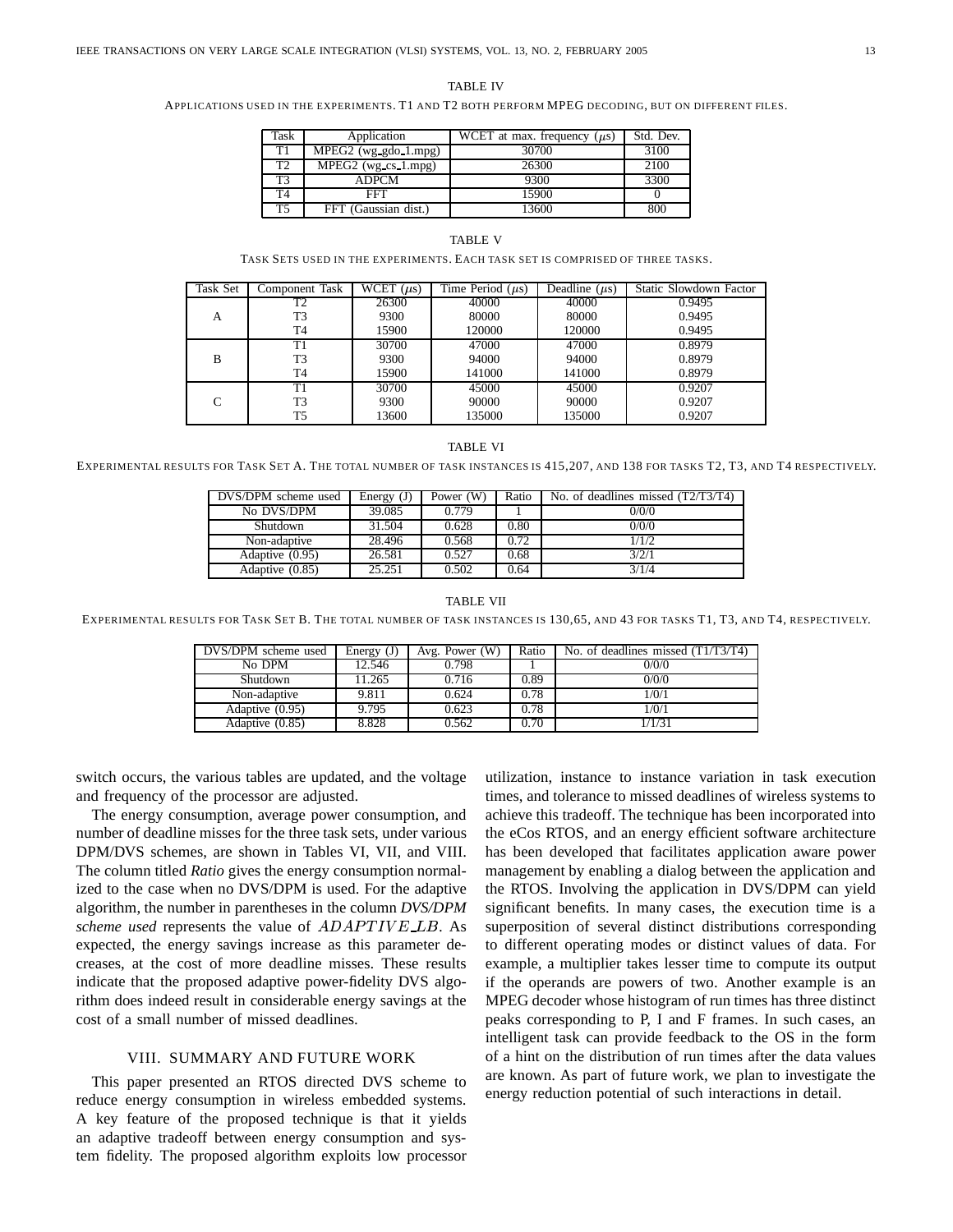## TABLE IV

APPLICATIONS USED IN THE EXPERIMENTS. T1 AND T2 BOTH PERFORM MPEG DECODING, BUT ON DIFFERENT FILES.

| Task           | Application              | WCET at max. frequency $(\mu s)$ | Std. Dev. |
|----------------|--------------------------|----------------------------------|-----------|
| T1             | $MPEG2$ (wg_gdo_1.mpg)   | 30700                            | 3100      |
| T <sub>2</sub> | $MPEG2$ (wg $cs_1.mpg$ ) | 26300                            | 2100      |
| T3             | <b>ADPCM</b>             | 9300                             | 3300      |
| T <sub>4</sub> | FFT                      | 15900                            |           |
| T5             | FFT (Gaussian dist.)     | 13600                            | 800       |

#### TABLE V

TASK SETS USED IN THE EXPERIMENTS. EACH TASK SET IS COMPRISED OF THREE TASKS.

| Task Set | Component Task | WCET $(\mu s)$ | Time Period $(\mu s)$ | Deadline $(\mu s)$ | Static Slowdown Factor |
|----------|----------------|----------------|-----------------------|--------------------|------------------------|
|          | T2             | 26300          | 40000                 | 40000              | 0.9495                 |
| A        | T3             | 9300           | 80000                 | 80000              | 0.9495                 |
|          | T4             | 15900          | 120000                | 120000             | 0.9495                 |
|          | T1             | 30700          | 47000                 | 47000              | 0.8979                 |
| B        | T3             | 9300           | 94000                 | 94000              | 0.8979                 |
|          | T4             | 15900          | 141000                | 141000             | 0.8979                 |
|          | Τ1             | 30700          | 45000                 | 45000              | 0.9207                 |
|          | T3             | 9300           | 90000                 | 90000              | 0.9207                 |
|          | T5             | 13600          | 135000                | 135000             | 0.9207                 |

### TABLE VI

EXPERIMENTAL RESULTS FOR TASK SET A. THE TOTAL NUMBER OF TASK INSTANCES IS 415,207, AND 138 FOR TASKS T2, T3, AND T4 RESPECTIVELY.

| DVS/DPM scheme used | Energy $(J)$ | Power (W) | Ratio | No. of deadlines missed (T2/T3/T4) |
|---------------------|--------------|-----------|-------|------------------------------------|
| No DVS/DPM          | 39.085       | 0.779     |       | 0/0/0                              |
| Shutdown            | 31.504       | 0.628     | 0.80  | 0/0/0                              |
| Non-adaptive        | 28.496       | 0.568     | 0.72  | 1/1/2                              |
| Adaptive (0.95)     | 26.581       | 0.527     | 0.68  | 3/2/1                              |
| Adaptive (0.85)     | 25.251       | 0.502     | 0.64  | 3/1/4                              |

## TABLE VII

EXPERIMENTAL RESULTS FOR TASK SET B. THE TOTAL NUMBER OF TASK INSTANCES IS 130,65, AND 43 FOR TASKS T1, T3, AND T4, RESPECTIVELY.

| DVS/DPM scheme used | Energy $(J)$ | Avg. Power $(W)$ | Ratio | No. of deadlines missed $(T1/T3/T4)$ |
|---------------------|--------------|------------------|-------|--------------------------------------|
| No DPM              | 12.546       | 0.798            |       | 0/0/0                                |
| Shutdown            | 11.265       | 0.716            | 0.89  | 0/0/0                                |
| Non-adaptive        | 9.811        | 0.624            | 0.78  | 1/0/1                                |
| Adaptive (0.95)     | 9.795        | 0.623            | 0.78  | 1/0/1                                |
| Adaptive $(0.85)$   | 8.828        | 0.562            | 0.70  | 1/1/31                               |

switch occurs, the various tables are updated, and the voltage and frequency of the processor are adjusted.

The energy consumption, average power consumption, and number of deadline misses for the three task sets, under various DPM/DVS schemes, are shown in Tables VI, VII, and VIII. The column titled *Ratio* gives the energy consumption normalized to the case when no DVS/DPM is used. For the adaptive algorithm, the number in parentheses in the column *DVS/DPM* scheme used represents the value of *ADAPTIVELB*. As super expected, the energy savings increase as this parameter decreases, at the cost of more deadline misses. These results indicate that the proposed adaptive power-fidelity DVS algorithm does indeed result in considerable energy savings at the cost of a small number of missed deadlines.

# VIII. SUMMARY AND FUTURE WORK

This paper presented an RTOS directed DVS scheme to reduce energy consumption in wireless embedded systems. A key feature of the proposed technique is that it yields an adaptive tradeoff between energy consumption and system fidelity. The proposed algorithm exploits low processor utilization, instance to instance variation in task execution times, and tolerance to missed deadlines of wireless systems to achieve this tradeoff. The technique has been incorporated into the eCos RTOS, and an energy efficient software architecture has been developed that facilitates application aware power management by enabling a dialog between the application and the RTOS. Involving the application in DVS/DPM can yield significant benefits. In many cases, the execution time is a superposition of several distinct distributions corresponding to different operating modes or distinct values of data. For example, a multiplier takes lesser time to compute its output if the operands are powers of two. Another example is an MPEG decoder whose histogram of run times has three distinct peaks corresponding to P, I and F frames. In such cases, an intelligent task can provide feedback to the OS in the form of a hint on the distribution of run times after the data values are known. As part of future work, we plan to investigate the energy reduction potential of such interactions in detail.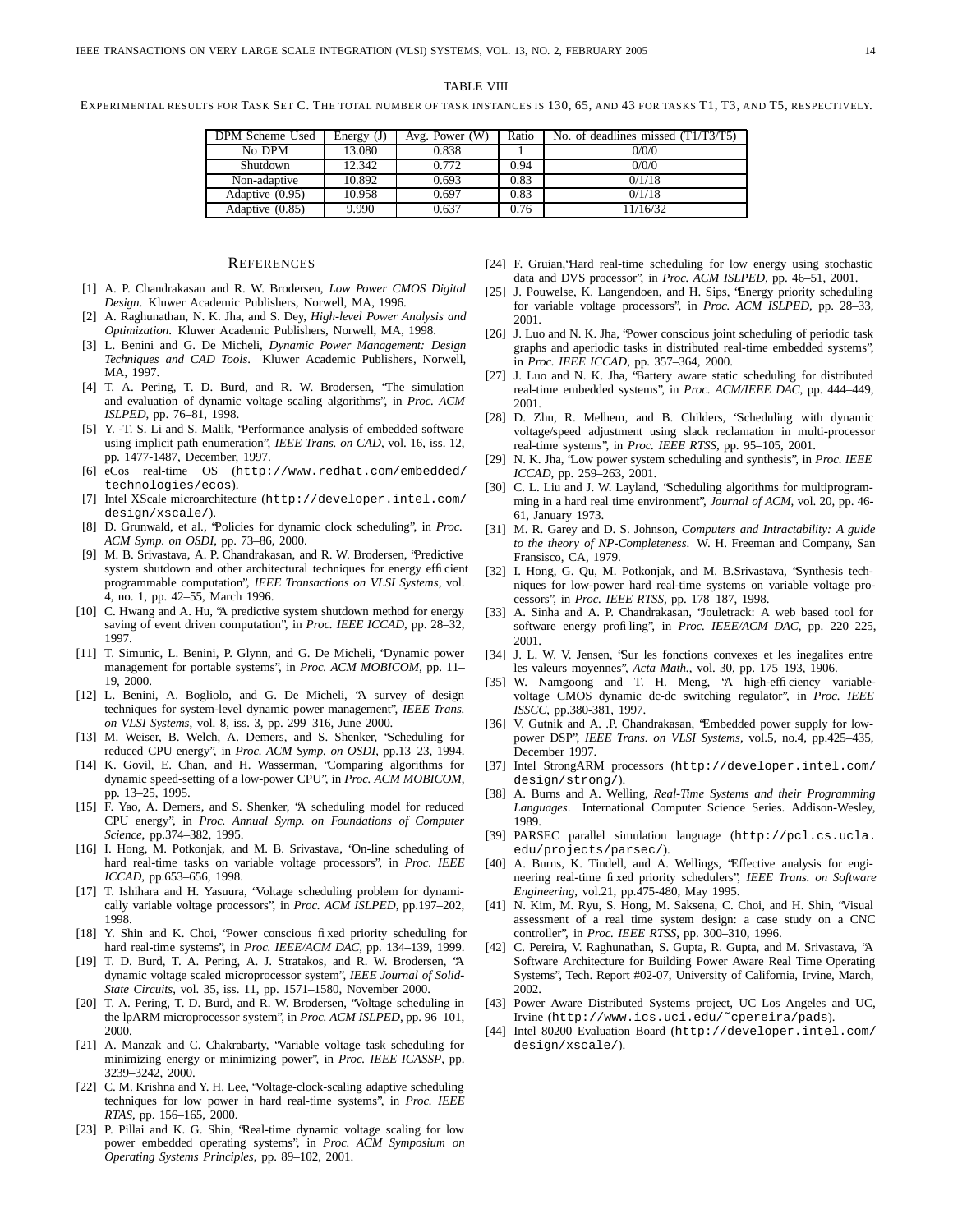## TABLE VIII

EXPERIMENTAL RESULTS FOR TASK SET C. THE TOTAL NUMBER OF TASK INSTANCES IS 130, 65, AND 43 FOR TASKS T1, T3, AND T5, RESPECTIVELY.

| DPM Scheme Used | Energy $(J)$ | Avg. Power (W) | Ratio | No. of deadlines missed (T1/T3/T5) |
|-----------------|--------------|----------------|-------|------------------------------------|
| No DPM          | 13.080       | 0.838          |       | 0/0/0                              |
| Shutdown        | 12.342       | 0.772          | 0.94  | 0/0/0                              |
| Non-adaptive    | 10.892       | 0.693          | 0.83  | 0/1/18                             |
| Adaptive (0.95) | 10.958       | 0.697          | 0.83  | 0/1/18                             |
| Adaptive (0.85) | 9.990        | 0.637          | 0.76  | 11/16/32                           |

## **REFERENCES**

- [1] A. P. Chandrakasan and R. W. Brodersen, *Low Power CMOS Digital Design*. Kluwer Academic Publishers, Norwell, MA, 1996.
- [2] A. Raghunathan, N. K. Jha, and S. Dey, *High-level Power Analysis and Optimization*. Kluwer Academic Publishers, Norwell, MA, 1998.
- [3] L. Benini and G. De Micheli, *Dynamic Power Management: Design Techniques and CAD Tools*. Kluwer Academic Publishers, Norwell, MA, 1997.
- [4] T. A. Pering, T. D. Burd, and R. W. Brodersen, "The simulation and evaluation of dynamic voltage scaling algorithms", in *Proc. ACM ISLPED*, pp. 76–81, 1998.
- [5] Y. -T. S. Li and S. Malik, "Performance analysis of embedded software using implicit path enumeration", *IEEE Trans. on CAD*, vol. 16, iss. 12, pp. 1477-1487, December, 1997.
- [6] eCos real-time OS (http://www.redhat.com/embedded/ technologies/ecos).
- [7] Intel XScale microarchitecture (http://developer.intel.com/ design/xscale/).
- [8] D. Grunwald, et al., "Policies for dynamic clock scheduling", in *Proc. ACM Symp. on OSDI*, pp. 73–86, 2000.
- [9] M. B. Srivastava, A. P. Chandrakasan, and R. W. Brodersen, "Predictive system shutdown and other architectural techniques for energy efficient programmable computation", *IEEE Transactions on VLSI Systems*, vol. 4, no. 1, pp. 42–55, March 1996.
- [10] C. Hwang and A. Hu, "A predictive system shutdown method for energy saving of event driven computation", in *Proc. IEEE ICCAD*, pp. 28–32, 1997.
- [11] T. Simunic, L. Benini, P. Glynn, and G. De Micheli, 'Dynamic power management for portable systems", in *Proc. ACM MOBICOM*, pp. 11– 19, 2000.
- [12] L. Benini, A. Bogliolo, and G. De Micheli, "A survey of design techniques for system-level dynamic power management", *IEEE Trans. on VLSI Systems*, vol. 8, iss. 3, pp. 299–316, June 2000.
- [13] M. Weiser, B. Welch, A. Demers, and S. Shenker, "Scheduling for reduced CPU energy", in *Proc. ACM Symp. on OSDI*, pp.13–23, 1994.
- [14] K. Govil, E. Chan, and H. Wasserman, 'Comparing algorithms for dynamic speed-setting of a low-power CPU", in *Proc. ACM MOBICOM*, pp. 13–25, 1995.
- [15] F. Yao, A. Demers, and S. Shenker, "A scheduling model for reduced CPU energy", in *Proc. Annual Symp. on Foundations of Computer Science*, pp.374–382, 1995.
- [16] I. Hong, M. Potkonjak, and M. B. Srivastava, 'On-line scheduling of hard real-time tasks on variable voltage processors", in *Proc. IEEE ICCAD*, pp.653–656, 1998.
- [17] T. Ishihara and H. Yasuura, 'Voltage scheduling problem for dynamically variable voltage processors", in *Proc. ACM ISLPED*, pp.197–202, 1998.
- [18] Y. Shin and K. Choi, 'Power conscious fixed priority scheduling for hard real-time systems", in *Proc. IEEE/ACM DAC*, pp. 134–139, 1999.
- [19] T. D. Burd, T. A. Pering, A. J. Stratakos, and R. W. Brodersen, "A dynamic voltage scaled microprocessor system", *IEEE Journal of Solid-State Circuits*, vol. 35, iss. 11, pp. 1571–1580, November 2000.
- [20] T. A. Pering, T. D. Burd, and R. W. Brodersen, "Voltage scheduling in the lpARM microprocessor system", in *Proc. ACM ISLPED*, pp. 96–101, 2000.
- [21] A. Manzak and C. Chakrabarty, "Variable voltage task scheduling for minimizing energy or minimizing power", in *Proc. IEEE ICASSP*, pp. 3239–3242, 2000.
- [22] C. M. Krishna and Y. H. Lee, "Voltage-clock-scaling adaptive scheduling techniques for low power in hard real-time systems", in *Proc. IEEE RTAS*, pp. 156–165, 2000.
- [23] P. Pillai and K. G. Shin, "Real-time dynamic voltage scaling for low power embedded operating systems", in *Proc. ACM Symposium on Operating Systems Principles*, pp. 89–102, 2001.
- [24] F. Gruian,"Hard real-time scheduling for low energy using stochastic data and DVS processor", in *Proc. ACM ISLPED*, pp. 46–51, 2001.
- [25] J. Pouwelse, K. Langendoen, and H. Sips, "Energy priority scheduling for variable voltage processors", in *Proc. ACM ISLPED*, pp. 28–33, 2001.
- [26] J. Luo and N. K. Jha, "Power conscious joint scheduling of periodic task graphs and aperiodic tasks in distributed real-time embedded systems", in *Proc. IEEE ICCAD*, pp. 357–364, 2000.
- [27] J. Luo and N. K. Jha, "Battery aware static scheduling for distributed real-time embedded systems", in *Proc. ACM/IEEE DAC*, pp. 444–449, 2001.
- [28] D. Zhu, R. Melhem, and B. Childers, "Scheduling with dynamic voltage/speed adjustment using slack reclamation in multi-processor real-time systems", in *Proc. IEEE RTSS*, pp. 95–105, 2001.
- [29] N. K. Jha, "Low power system scheduling and synthesis", in *Proc. IEEE ICCAD*, pp. 259–263, 2001.
- [30] C. L. Liu and J. W. Layland, 'Scheduling algorithms for multiprogramming in a hard real time environment", *Journal of ACM*, vol. 20, pp. 46- 61, January 1973.
- [31] M. R. Garey and D. S. Johnson, *Computers and Intractability: A guide to the theory of NP-Completeness*. W. H. Freeman and Company, San Fransisco, CA, 1979.
- [32] I. Hong, G. Qu, M. Potkonjak, and M. B.Srivastava, "Synthesis techniques for low-power hard real-time systems on variable voltage processors", in *Proc. IEEE RTSS*, pp. 178–187, 1998.
- [33] A. Sinha and A. P. Chandrakasan, "Jouletrack: A web based tool for software energy profiling", in *Proc. IEEE/ACM DAC*, pp. 220–225, 2001.
- [34] J. L. W. V. Jensen, "Sur les fonctions convexes et les inegalites entre les valeurs moyennes", *Acta Math.*, vol. 30, pp. 175–193, 1906.
- [35] W. Namgoong and T. H. Meng, "A high-efficiency variablevoltage CMOS dynamic dc-dc switching regulator", in *Proc. IEEE ISSCC*, pp.380-381, 1997.
- [36] V. Gutnik and A. .P. Chandrakasan, 'Embedded power supply for lowpower DSP", *IEEE Trans. on VLSI Systems*, vol.5, no.4, pp.425–435, December 1997.
- [37] Intel StrongARM processors (http://developer.intel.com/ design/strong/).
- [38] A. Burns and A. Welling, *Real-Time Systems and their Programming Languages*. International Computer Science Series. Addison-Wesley, 1989.
- [39] PARSEC parallel simulation language (http://pcl.cs.ucla. edu/projects/parsec/).
- [40] A. Burns, K. Tindell, and A. Wellings, "Effective analysis for engineering real-time fixed priority schedulers", *IEEE Trans. on Software Engineering*, vol.21, pp.475-480, May 1995.
- [41] N. Kim, M. Ryu, S. Hong, M. Saksena, C. Choi, and H. Shin, "Visual assessment of a real time system design: a case study on a CNC controller", in *Proc. IEEE RTSS*, pp. 300–310, 1996.
- [42] C. Pereira, V. Raghunathan, S. Gupta, R. Gupta, and M. Srivastava, "A Software Architecture for Building Power Aware Real Time Operating Systems", Tech. Report #02-07, University of California, Irvine, March, 2002.
- [43] Power Aware Distributed Systems project, UC Los Angeles and UC, Irvine (http://www.ics.uci.edu/˜cpereira/pads).
- [44] Intel 80200 Evaluation Board (http://developer.intel.com/ design/xscale/).